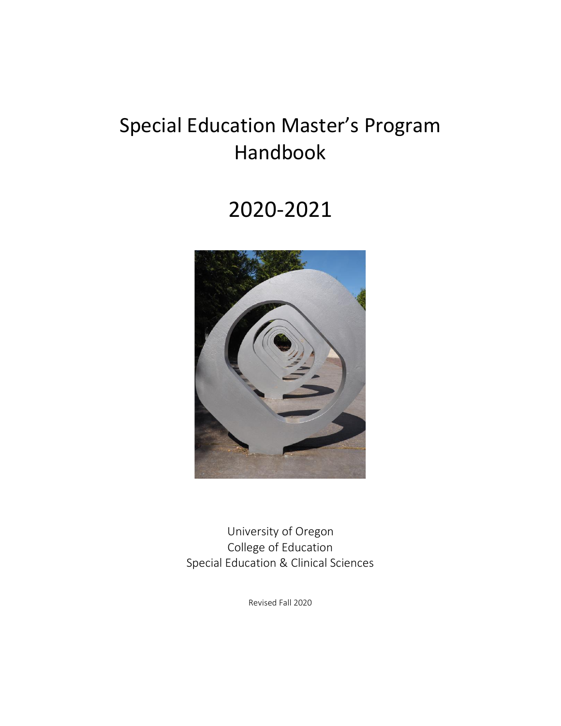# Special Education Master's Program Handbook

# 2020-2021



 University of Oregon College of Education Special Education & Clinical Sciences

Revised Fall 2020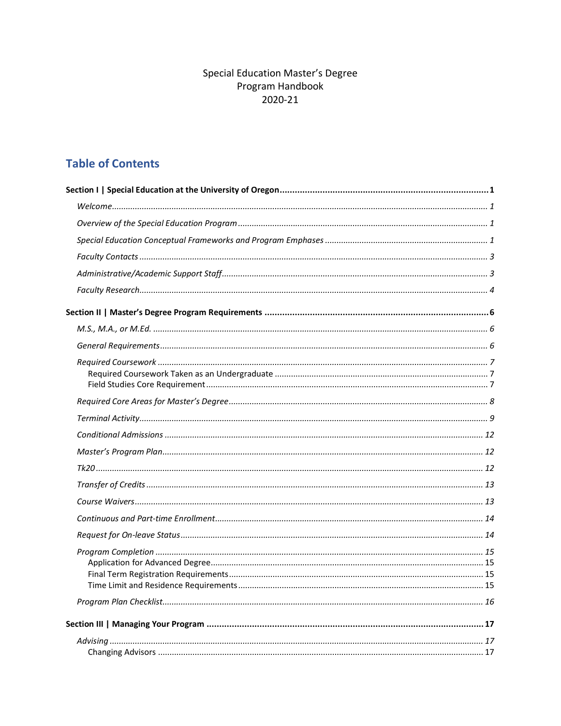# **Special Education Master's Degree** Program Handbook 2020-21

# **Table of Contents**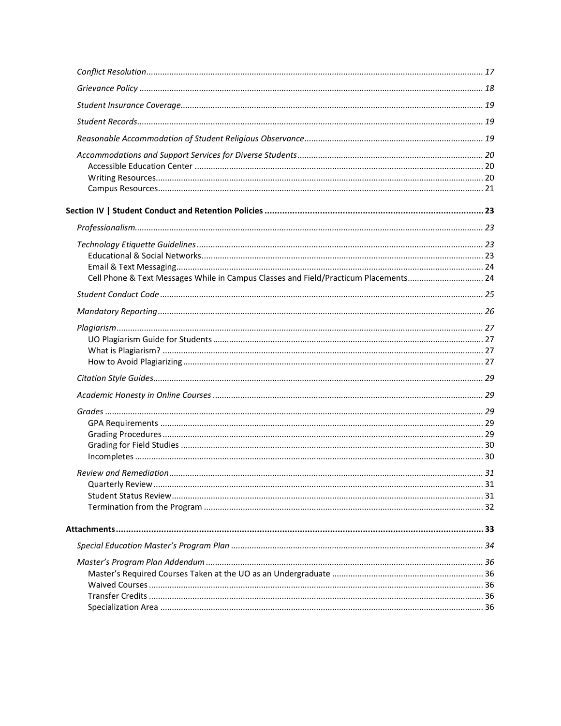| Cell Phone & Text Messages While in Campus Classes and Field/Practicum Placements 24 |  |
|--------------------------------------------------------------------------------------|--|
|                                                                                      |  |
|                                                                                      |  |
|                                                                                      |  |
|                                                                                      |  |
|                                                                                      |  |
|                                                                                      |  |
|                                                                                      |  |
|                                                                                      |  |
|                                                                                      |  |
|                                                                                      |  |
|                                                                                      |  |
|                                                                                      |  |
|                                                                                      |  |
|                                                                                      |  |
|                                                                                      |  |
|                                                                                      |  |
|                                                                                      |  |
|                                                                                      |  |
|                                                                                      |  |
|                                                                                      |  |
|                                                                                      |  |
|                                                                                      |  |
|                                                                                      |  |
|                                                                                      |  |
|                                                                                      |  |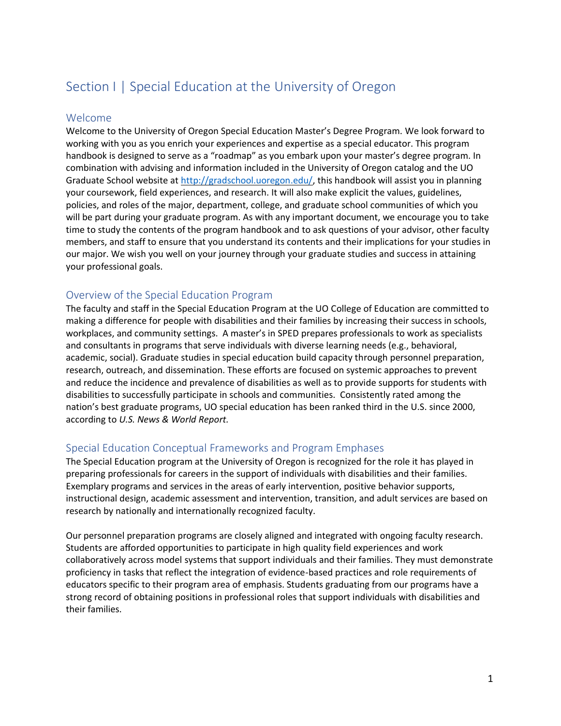# <span id="page-3-0"></span>Section I | Special Education at the University of Oregon

#### <span id="page-3-1"></span>Welcome

Welcome to the University of Oregon Special Education Master's Degree Program. We look forward to working with you as you enrich your experiences and expertise as a special educator. This program handbook is designed to serve as a "roadmap" as you embark upon your master's degree program. In combination with advising and information included in the University of Oregon catalog and the UO Graduate School website at [http://gradschool.uoregon.edu/,](http://gradschool.uoregon.edu/) this handbook will assist you in planning your coursework, field experiences, and research. It will also make explicit the values, guidelines, policies, and roles of the major, department, college, and graduate school communities of which you will be part during your graduate program. As with any important document, we encourage you to take time to study the contents of the program handbook and to ask questions of your advisor, other faculty members, and staff to ensure that you understand its contents and their implications for your studies in our major. We wish you well on your journey through your graduate studies and success in attaining your professional goals.

## <span id="page-3-2"></span>Overview of the Special Education Program

The faculty and staff in the Special Education Program at the UO College of Education are committed to making a difference for people with disabilities and their families by increasing their success in schools, workplaces, and community settings. A master's in SPED prepares professionals to work as specialists and consultants in programs that serve individuals with diverse learning needs (e.g., behavioral, academic, social). Graduate studies in special education build capacity through personnel preparation, research, outreach, and dissemination. These efforts are focused on systemic approaches to prevent and reduce the incidence and prevalence of disabilities as well as to provide supports for students with disabilities to successfully participate in schools and communities. Consistently rated among the nation's best graduate programs, UO special education has been ranked third in the U.S. since 2000, according to *U.S. News & World Report.*

#### <span id="page-3-3"></span>Special Education Conceptual Frameworks and Program Emphases

The Special Education program at the University of Oregon is recognized for the role it has played in preparing professionals for careers in the support of individuals with disabilities and their families. Exemplary programs and services in the areas of early intervention, positive behavior supports, instructional design, academic assessment and intervention, transition, and adult services are based on research by nationally and internationally recognized faculty.

Our personnel preparation programs are closely aligned and integrated with ongoing faculty research. Students are afforded opportunities to participate in high quality field experiences and work collaboratively across model systems that support individuals and their families. They must demonstrate proficiency in tasks that reflect the integration of evidence-based practices and role requirements of educators specific to their program area of emphasis. Students graduating from our programs have a strong record of obtaining positions in professional roles that support individuals with disabilities and their families.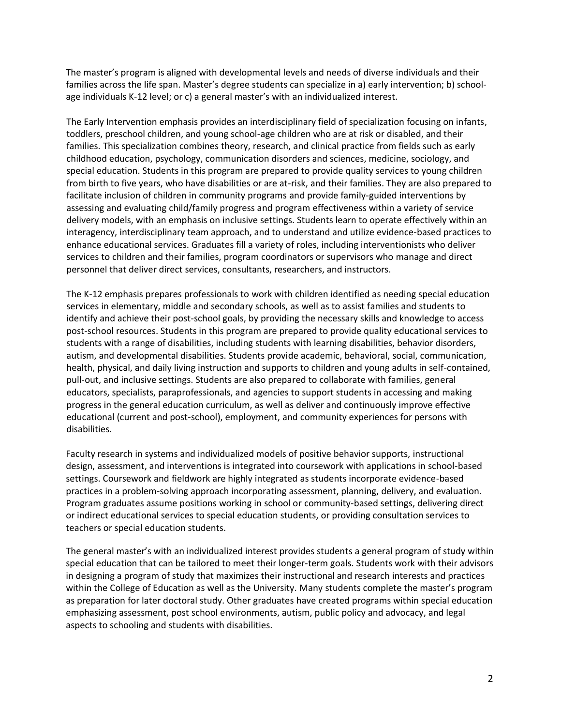The master's program is aligned with developmental levels and needs of diverse individuals and their families across the life span. Master's degree students can specialize in a) early intervention; b) schoolage individuals K-12 level; or c) a general master's with an individualized interest.

The Early Intervention emphasis provides an interdisciplinary field of specialization focusing on infants, toddlers, preschool children, and young school-age children who are at risk or disabled, and their families. This specialization combines theory, research, and clinical practice from fields such as early childhood education, psychology, communication disorders and sciences, medicine, sociology, and special education. Students in this program are prepared to provide quality services to young children from birth to five years, who have disabilities or are at-risk, and their families. They are also prepared to facilitate inclusion of children in community programs and provide family-guided interventions by assessing and evaluating child/family progress and program effectiveness within a variety of service delivery models, with an emphasis on inclusive settings. Students learn to operate effectively within an interagency, interdisciplinary team approach, and to understand and utilize evidence-based practices to enhance educational services. Graduates fill a variety of roles, including interventionists who deliver services to children and their families, program coordinators or supervisors who manage and direct personnel that deliver direct services, consultants, researchers, and instructors.

The K-12 emphasis prepares professionals to work with children identified as needing special education services in elementary, middle and secondary schools, as well as to assist families and students to identify and achieve their post-school goals, by providing the necessary skills and knowledge to access post-school resources. Students in this program are prepared to provide quality educational services to students with a range of disabilities, including students with learning disabilities, behavior disorders, autism, and developmental disabilities. Students provide academic, behavioral, social, communication, health, physical, and daily living instruction and supports to children and young adults in self-contained, pull-out, and inclusive settings. Students are also prepared to collaborate with families, general educators, specialists, paraprofessionals, and agencies to support students in accessing and making progress in the general education curriculum, as well as deliver and continuously improve effective educational (current and post-school), employment, and community experiences for persons with disabilities.

Faculty research in systems and individualized models of positive behavior supports, instructional design, assessment, and interventions is integrated into coursework with applications in school-based settings. Coursework and fieldwork are highly integrated as students incorporate evidence-based practices in a problem-solving approach incorporating assessment, planning, delivery, and evaluation. Program graduates assume positions working in school or community-based settings, delivering direct or indirect educational services to special education students, or providing consultation services to teachers or special education students.

The general master's with an individualized interest provides students a general program of study within special education that can be tailored to meet their longer-term goals. Students work with their advisors in designing a program of study that maximizes their instructional and research interests and practices within the College of Education as well as the University. Many students complete the master's program as preparation for later doctoral study. Other graduates have created programs within special education emphasizing assessment, post school environments, autism, public policy and advocacy, and legal aspects to schooling and students with disabilities.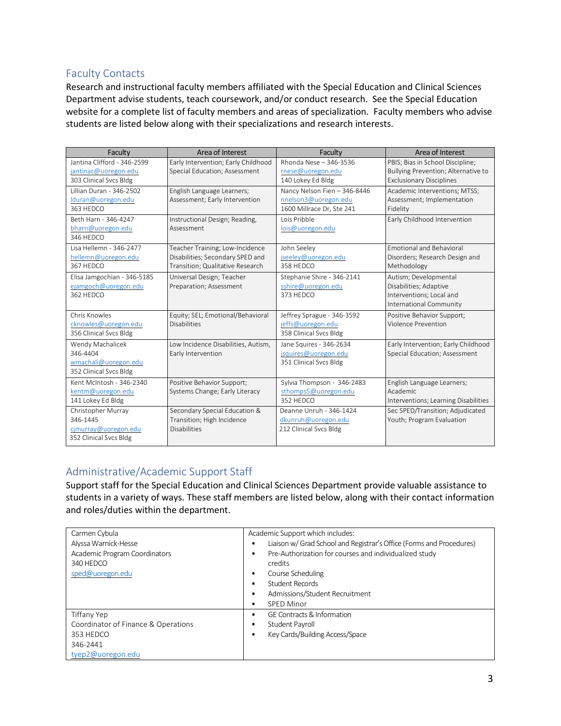# <span id="page-5-0"></span>Faculty Contacts

Research and instructional faculty members affiliated with the Special Education and Clinical Sciences Department advise students, teach coursework, and/or conduct research. See the Special Education website for a complete list of faculty members and areas of specialization. Faculty members who advise students are listed below along with their specializations and research interests.

| Faculty                                                                          | Area of Interest                                                                                        | Faculty                                                                           | Area of Interest                                                                                           |
|----------------------------------------------------------------------------------|---------------------------------------------------------------------------------------------------------|-----------------------------------------------------------------------------------|------------------------------------------------------------------------------------------------------------|
| Jantina Clifford - 346-2599<br>jantinac@uoregon.edu<br>303 Clinical Svcs Bldg    | Early Intervention; Early Childhood<br>Special Education; Assessment                                    | Rhonda Nese - 346-3536<br>rnese@uoregon.edu<br>140 Lokey Ed Bldg                  | PBIS; Bias in School Discipline;<br>Bullying Prevention; Alternative to<br><b>Exclusionary Disciplines</b> |
| Hillian Duran - 346-2502<br>lduran@uoregon.edu<br>363 HEDCO                      | English Language Learners;<br>Assessment; Early Intervention                                            | Nancy Nelson Fien - 346-8446<br>nnelson3@uoregon.edu<br>1600 Millrace Dr, Ste 241 | Academic Interventions; MTSS;<br>Assessment; Implementation<br>Fidelity                                    |
| Beth Harn - 346-4247<br>bharn@uoregon.edu<br>346 HEDCO                           | Instructional Design; Reading,<br>Assessment                                                            | Lois Pribble<br>lois@uoregon.edu                                                  | Early Childhood Intervention                                                                               |
| Lisa Hellemn - 346-2477<br>hellemn@uoregon.edu<br>367 HEDCO                      | Teacher Training; Low-Incidence<br>Disabilities; Secondary SPED and<br>Transition; Qualitative Research | John Seeley<br>jseeley@uoregon.edu<br>358 HFDCO                                   | <b>Emotional and Behavioral</b><br>Disorders; Research Design and<br>Methodology                           |
| Elisa Jamgochian - 346-5185<br>ejamgoch@uoregon.edu<br>362 HFDCO                 | Universal Design; Teacher<br>Preparation; Assessment                                                    | Stephanie Shire - 346-2141<br>sshire@uoregon.edu<br>373 HFDCO                     | Autism; Developmental<br>Disabilities; Adaptive<br>Interventions: Local and<br>International Community     |
| Chris Knowles<br>cknowles@uoregon.edu<br>356 Clinical Svcs Bldg                  | Equity; SEL; Emotional/Behavioral<br><b>Disabilities</b>                                                | Jeffrey Sprague - 346-3592<br>jeffs@uoregon.edu<br>358 Clinical Svcs Bldg         | Positive Behavior Support;<br>Violence Prevention                                                          |
| Wendy Machalicek<br>346-4404<br>wmachali@uoregon.edu<br>352 Clinical Svcs Bldg   | Low Incidence Disabilities, Autism,<br>Early Intervention                                               | Jane Squires - 346-2634<br>jsquires@uoregon.edu<br>351 Clinical Svcs Bldg         | Early Intervention; Early Childhood<br>Special Education; Assessment                                       |
| Kent McIntosh - 346-2340<br>kentm@uoregon.edu<br>141 Lokey Ed Bldg               | Positive Behavior Support;<br>Systems Change; Early Literacy                                            | Sylvia Thompson - 346-2483<br>sthomps5@uoregon.edu<br>352 HEDCO                   | English Language Learners;<br>Academic<br>Interventions; Learning Disabilities                             |
| Christopher Murray<br>346-1445<br>cjmurray@uoregon.edu<br>352 Clinical Svcs Bldg | Secondary Special Education &<br>Transition; High Incidence<br><b>Disabilities</b>                      | Deanne Unruh - 346-1424<br>dkunruh@uoregon.edu<br>212 Clinical Svcs Bldg          | Sec SPED/Transition; Adjudicated<br>Youth; Program Evaluation                                              |

# <span id="page-5-1"></span>Administrative/Academic Support Staff

Support staff for the Special Education and Clinical Sciences Department provide valuable assistance to students in a variety of ways. These staff members are listed below, along with their contact information and roles/duties within the department.

| Carmen Cybula                       | Academic Support which includes:                                     |
|-------------------------------------|----------------------------------------------------------------------|
| Alyssa Warnick-Hesse                | Liaison w/ Grad School and Registrar's Office (Forms and Procedures) |
| Academic Program Coordinators       | Pre-Authorization for courses and individualized study               |
| 340 HEDCO                           | credits                                                              |
| sped@uoregon.edu                    | Course Scheduling<br>$\bullet$                                       |
|                                     | Student Records<br>$\bullet$                                         |
|                                     | Admissions/Student Recruitment<br>$\bullet$                          |
|                                     | <b>SPED Minor</b><br>$\bullet$                                       |
| Tiffany Yep                         | <b>GE Contracts &amp; Information</b><br>$\bullet$                   |
| Coordinator of Finance & Operations | Student Payroll<br>٠                                                 |
| 353 HEDCO                           | Key Cards/Building Access/Space                                      |
| 346-2441                            |                                                                      |
| tyep2@uoregon.edu                   |                                                                      |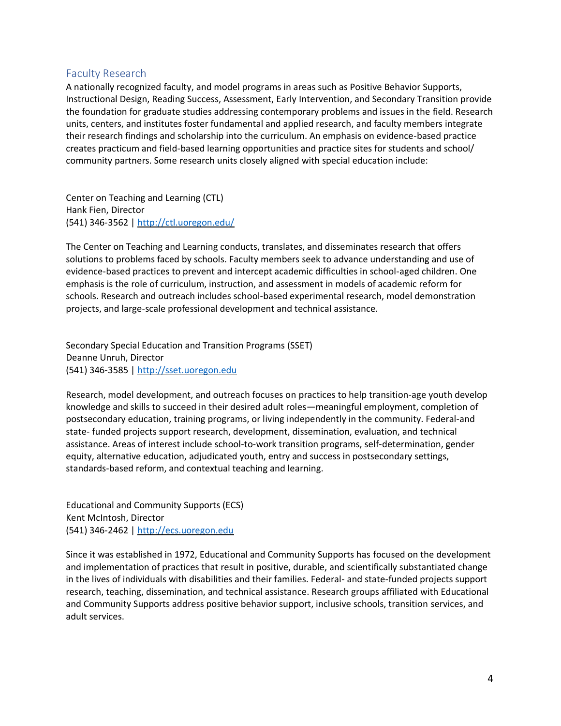### <span id="page-6-0"></span>Faculty Research

A nationally recognized faculty, and model programs in areas such as Positive Behavior Supports, Instructional Design, Reading Success, Assessment, Early Intervention, and Secondary Transition provide the foundation for graduate studies addressing contemporary problems and issues in the field. Research units, centers, and institutes foster fundamental and applied research, and faculty members integrate their research findings and scholarship into the curriculum. An emphasis on evidence-based practice creates practicum and field-based learning opportunities and practice sites for students and school/ community partners. Some research units closely aligned with special education include:

Center on Teaching and Learning (CTL) Hank Fien, Director (541) 346-3562 |<http://ctl.uoregon.edu/>

The Center on Teaching and Learning conducts, translates, and disseminates research that offers solutions to problems faced by schools. Faculty members seek to advance understanding and use of evidence-based practices to prevent and intercept academic difficulties in school-aged children. One emphasis is the role of curriculum, instruction, and assessment in models of academic reform for schools. Research and outreach includes school-based experimental research, model demonstration projects, and large-scale professional development and technical assistance.

Secondary Special Education and Transition Programs (SSET) Deanne Unruh, Director (541) 346-3585 | [http://sset.uoregon.edu](http://sset.uoregon.edu/)

Research, model development, and outreach focuses on practices to help transition-age youth develop knowledge and skills to succeed in their desired adult roles—meaningful employment, completion of postsecondary education, training programs, or living independently in the community. Federal-and state- funded projects support research, development, dissemination, evaluation, and technical assistance. Areas of interest include school-to-work transition programs, self-determination, gender equity, alternative education, adjudicated youth, entry and success in postsecondary settings, standards-based reform, and contextual teaching and learning.

Educational and Community Supports (ECS) Kent McIntosh, Director (541) 346-2462 | [http://ecs.uoregon.edu](http://ecs.uoregon.edu/)

Since it was established in 1972, Educational and Community Supports has focused on the development and implementation of practices that result in positive, durable, and scientifically substantiated change in the lives of individuals with disabilities and their families. Federal- and state-funded projects support research, teaching, dissemination, and technical assistance. Research groups affiliated with Educational and Community Supports address positive behavior support, inclusive schools, transition services, and adult services.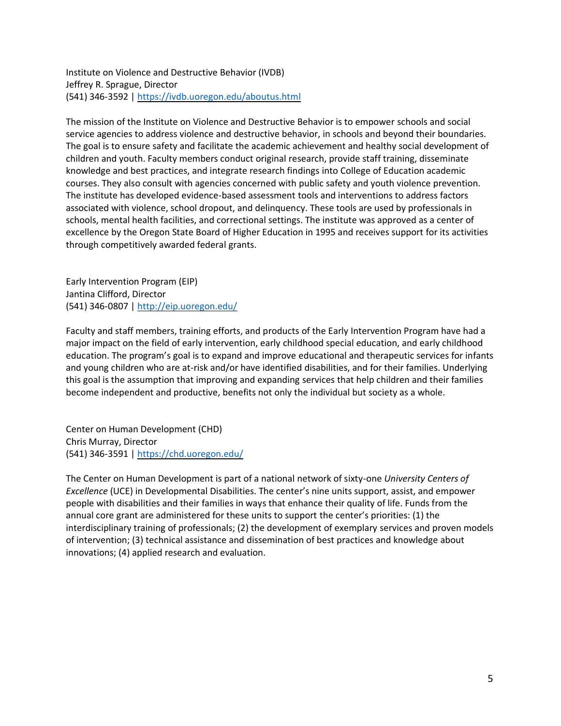Institute on Violence and Destructive Behavior (IVDB) Jeffrey R. Sprague, Director (541) 346-3592 |<https://ivdb.uoregon.edu/aboutus.html>

The mission of the Institute on Violence and Destructive Behavior is to empower schools and social service agencies to address violence and destructive behavior, in schools and beyond their boundaries. The goal is to ensure safety and facilitate the academic achievement and healthy social development of children and youth. Faculty members conduct original research, provide staff training, disseminate knowledge and best practices, and integrate research findings into College of Education academic courses. They also consult with agencies concerned with public safety and youth violence prevention. The institute has developed evidence-based assessment tools and interventions to address factors associated with violence, school dropout, and delinquency. These tools are used by professionals in schools, mental health facilities, and correctional settings. The institute was approved as a center of excellence by the Oregon State Board of Higher Education in 1995 and receives support for its activities through competitively awarded federal grants.

Early Intervention Program (EIP) Jantina Clifford, Director (541) 346-0807 |<http://eip.uoregon.edu/>

Faculty and staff members, training efforts, and products of the Early Intervention Program have had a major impact on the field of early intervention, early childhood special education, and early childhood education. The program's goal is to expand and improve educational and therapeutic services for infants and young children who are at-risk and/or have identified disabilities, and for their families. Underlying this goal is the assumption that improving and expanding services that help children and their families become independent and productive, benefits not only the individual but society as a whole.

Center on Human Development (CHD) Chris Murray, Director (541) 346-3591 |<https://chd.uoregon.edu/>

The Center on Human Development is part of a national network of sixty-one *University Centers of Excellence* (UCE) in Developmental Disabilities. The center's nine units support, assist, and empower people with disabilities and their families in ways that enhance their quality of life. Funds from the annual core grant are administered for these units to support the center's priorities: (1) the interdisciplinary training of professionals; (2) the development of exemplary services and proven models of intervention; (3) technical assistance and dissemination of best practices and knowledge about innovations; (4) applied research and evaluation.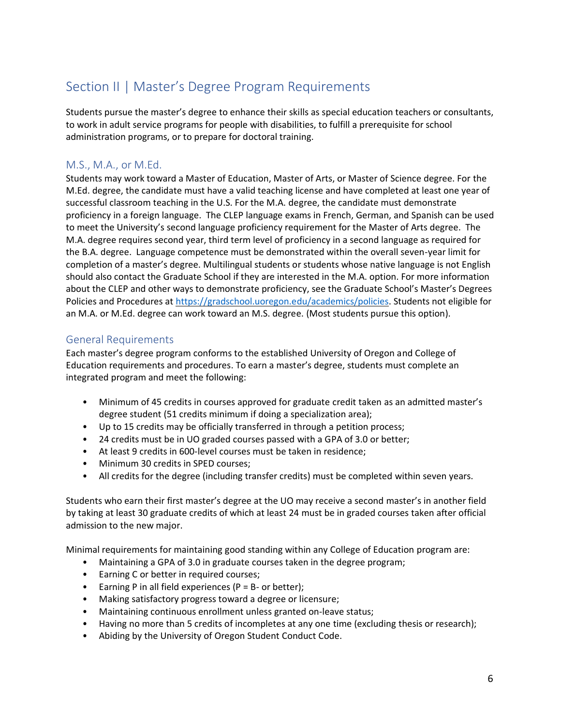# <span id="page-8-0"></span>Section II | Master's Degree Program Requirements

Students pursue the master's degree to enhance their skills as special education teachers or consultants, to work in adult service programs for people with disabilities, to fulfill a prerequisite for school administration programs, or to prepare for doctoral training.

# <span id="page-8-1"></span>M.S., M.A., or M.Ed.

Students may work toward a Master of Education, Master of Arts, or Master of Science degree. For the M.Ed. degree, the candidate must have a valid teaching license and have completed at least one year of successful classroom teaching in the U.S. For the M.A. degree, the candidate must demonstrate proficiency in a foreign language. The CLEP language exams in French, German, and Spanish can be used to meet the University's second language proficiency requirement for the Master of Arts degree. The M.A. degree requires second year, third term level of proficiency in a second language as required for the B.A. degree. Language competence must be demonstrated within the overall seven-year limit for completion of a master's degree. Multilingual students or students whose native language is not English should also contact the Graduate School if they are interested in the M.A. option. For more information about the CLEP and other ways to demonstrate proficiency, see the Graduate School's Master's Degrees Policies and Procedures at [https://gradschool.uoregon.edu/academics/policies.](https://gradschool.uoregon.edu/academics/policies) Students not eligible for an M.A. or M.Ed. degree can work toward an M.S. degree. (Most students pursue this option).

## <span id="page-8-2"></span>General Requirements

Each master's degree program conforms to the established University of Oregon and College of Education requirements and procedures. To earn a master's degree, students must complete an integrated program and meet the following:

- Minimum of 45 credits in courses approved for graduate credit taken as an admitted master's degree student (51 credits minimum if doing a specialization area);
- Up to 15 credits may be officially transferred in through a petition process;
- 24 credits must be in UO graded courses passed with a GPA of 3.0 or better;
- At least 9 credits in 600-level courses must be taken in residence;
- Minimum 30 credits in SPED courses;
- All credits for the degree (including transfer credits) must be completed within seven years.

Students who earn their first master's degree at the UO may receive a second master's in another field by taking at least 30 graduate credits of which at least 24 must be in graded courses taken after official admission to the new major.

Minimal requirements for maintaining good standing within any College of Education program are:

- Maintaining a GPA of 3.0 in graduate courses taken in the degree program;
- Earning C or better in required courses;
- Earning P in all field experiences ( $P = B -$  or better);
- Making satisfactory progress toward a degree or licensure;
- Maintaining continuous enrollment unless granted on-leave status;
- Having no more than 5 credits of incompletes at any one time (excluding thesis or research);
- Abiding by the University of Oregon Student Conduct Code.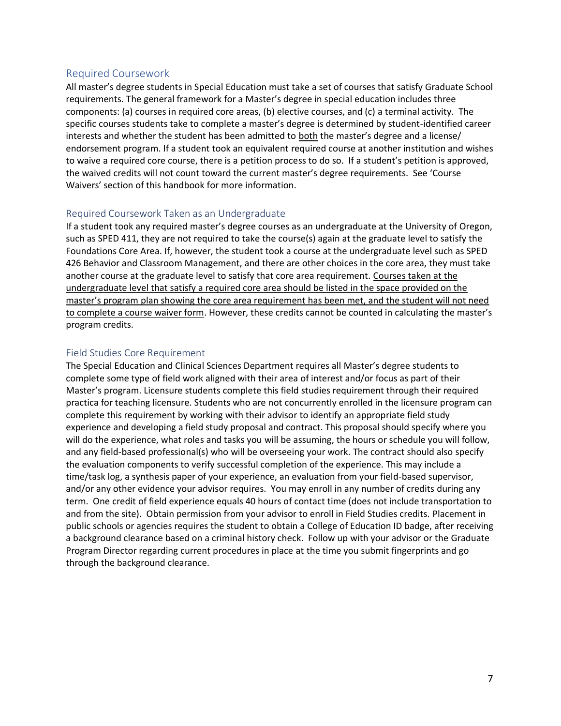#### <span id="page-9-0"></span>Required Coursework

All master's degree students in Special Education must take a set of courses that satisfy Graduate School requirements. The general framework for a Master's degree in special education includes three components: (a) courses in required core areas, (b) elective courses, and (c) a terminal activity. The specific courses students take to complete a master's degree is determined by student-identified career interests and whether the student has been admitted to both the master's degree and a license/ endorsement program. If a student took an equivalent required course at another institution and wishes to waive a required core course, there is a petition process to do so. If a student's petition is approved, the waived credits will not count toward the current master's degree requirements. See 'Course Waivers' section of this handbook for more information.

#### <span id="page-9-1"></span>Required Coursework Taken as an Undergraduate

If a student took any required master's degree courses as an undergraduate at the University of Oregon, such as SPED 411, they are not required to take the course(s) again at the graduate level to satisfy the Foundations Core Area. If, however, the student took a course at the undergraduate level such as SPED 426 Behavior and Classroom Management, and there are other choices in the core area, they must take another course at the graduate level to satisfy that core area requirement. Courses taken at the undergraduate level that satisfy a required core area should be listed in the space provided on the master's program plan showing the core area requirement has been met, and the student will not need to complete a course waiver form. However, these credits cannot be counted in calculating the master's program credits.

#### <span id="page-9-2"></span>Field Studies Core Requirement

The Special Education and Clinical Sciences Department requires all Master's degree students to complete some type of field work aligned with their area of interest and/or focus as part of their Master's program. Licensure students complete this field studies requirement through their required practica for teaching licensure. Students who are not concurrently enrolled in the licensure program can complete this requirement by working with their advisor to identify an appropriate field study experience and developing a field study proposal and contract. This proposal should specify where you will do the experience, what roles and tasks you will be assuming, the hours or schedule you will follow, and any field-based professional(s) who will be overseeing your work. The contract should also specify the evaluation components to verify successful completion of the experience. This may include a time/task log, a synthesis paper of your experience, an evaluation from your field-based supervisor, and/or any other evidence your advisor requires. You may enroll in any number of credits during any term. One credit of field experience equals 40 hours of contact time (does not include transportation to and from the site). Obtain permission from your advisor to enroll in Field Studies credits. Placement in public schools or agencies requires the student to obtain a College of Education ID badge, after receiving a background clearance based on a criminal history check. Follow up with your advisor or the Graduate Program Director regarding current procedures in place at the time you submit fingerprints and go through the background clearance.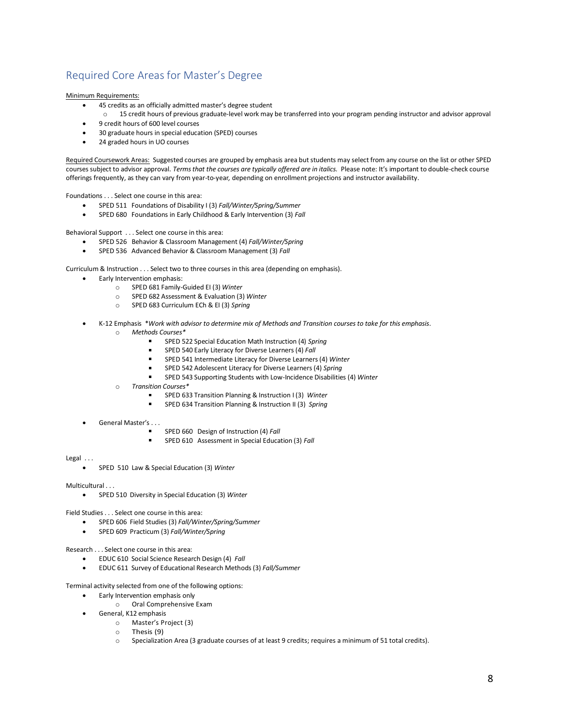# <span id="page-10-0"></span>Required Core Areas for Master's Degree

Minimum Requirements:

- 45 credits as an officially admitted master's degree student
- o 15 credit hours of previous graduate-level work may be transferred into your program pending instructor and advisor approval • 9 credit hours of 600 level courses
- 30 graduate hours in special education (SPED) courses
- 24 graded hours in UO courses

Required Coursework Areas: Suggested courses are grouped by emphasis area but students may select from any course on the list or other SPED courses subject to advisor approval. *Terms that the courses are typically offered are in italics.* Please note: It's important to double-check course offerings frequently, as they can vary from year-to-year*,* depending on enrollment projections and instructor availability.

Foundations . . . Select one course in this area:

- SPED 511 Foundations of Disability I (3) *Fall/Winter/Spring/Summer*
- SPED 680 Foundations in Early Childhood & Early Intervention (3) *Fall*

Behavioral Support . . . Select one course in this area:

- SPED 526 Behavior & Classroom Management (4) *Fall/Winter/Spring*
- SPED 536 Advanced Behavior & Classroom Management (3) *Fall*

Curriculum & Instruction . . . Select two to three courses in this area (depending on emphasis).

- Early Intervention emphasis:
	- o SPED 681 Family-Guided EI (3) *Winter*
	- o SPED 682 Assessment & Evaluation (3) *Winter*
	- o SPED 683 Curriculum ECh & EI (3) *Spring*
- K-12 Emphasis \**Work with advisor to determine mix of Methods and Transition courses to take for this emphasis*.
	- o *Methods Courses\**
		- SPED 522 Special Education Math Instruction (4) *Spring*
		- SPED 540 Early Literacy for Diverse Learners (4) *Fall*
		- SPED 541 Intermediate Literacy for Diverse Learners (4) *Winter*
		- SPED 542 Adolescent Literacy for Diverse Learners (4) *Spring*
		- SPED 543 Supporting Students with Low-Incidence Disabilities (4) *Winter*
	- o *Transition Courses\**
		- SPED 633 Transition Planning & Instruction I (3) *Winter*
		- SPED 634 Transition Planning & Instruction II (3) *Spring*
- General Master's . . .
	- SPED 660 Design of Instruction (4) *Fall*
	- SPED 610 Assessment in Special Education (3) *Fall*  $\blacksquare$

#### Legal ...

• SPED 510 Law & Special Education (3) *Winter*

Multicultural . . .

• SPED 510 Diversity in Special Education (3) *Winter*

Field Studies . . . Select one course in this area:

- SPED 606 Field Studies (3) *Fall/Winter/Spring/Summer*
- SPED 609 Practicum (3) *Fall/Winter/Spring*

Research . . . Select one course in this area:

- EDUC 610 Social Science Research Design (4) *Fall*
- EDUC 611 Survey of Educational Research Methods (3) *Fall/Summer*

Terminal activity selected from one of the following options:

- Early Intervention emphasis only
	- o Oral Comprehensive Exam
- General, K12 emphasis
	- o Master's Project (3)
	- o Thesis (9)
	- o Specialization Area (3 graduate courses of at least 9 credits; requires a minimum of 51 total credits).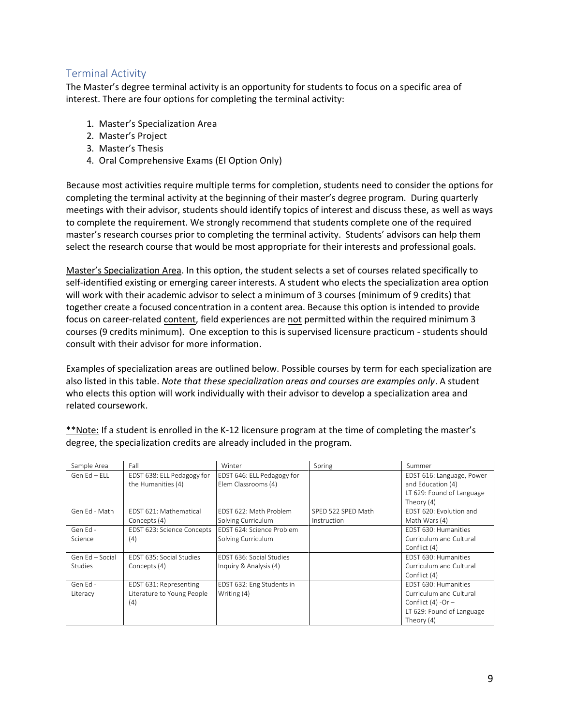# <span id="page-11-0"></span>Terminal Activity

The Master's degree terminal activity is an opportunity for students to focus on a specific area of interest. There are four options for completing the terminal activity:

- 1. Master's Specialization Area
- 2. Master's Project
- 3. Master's Thesis
- 4. Oral Comprehensive Exams (EI Option Only)

Because most activities require multiple terms for completion, students need to consider the options for completing the terminal activity at the beginning of their master's degree program. During quarterly meetings with their advisor, students should identify topics of interest and discuss these, as well as ways to complete the requirement. We strongly recommend that students complete one of the required master's research courses prior to completing the terminal activity. Students' advisors can help them select the research course that would be most appropriate for their interests and professional goals.

Master's Specialization Area. In this option, the student selects a set of courses related specifically to self-identified existing or emerging career interests. A student who elects the specialization area option will work with their academic advisor to select a minimum of 3 courses (minimum of 9 credits) that together create a focused concentration in a content area. Because this option is intended to provide focus on career-related content, field experiences are not permitted within the required minimum 3 courses (9 credits minimum). One exception to this is supervised licensure practicum - students should consult with their advisor for more information.

Examples of specialization areas are outlined below. Possible courses by term for each specialization are also listed in this table. *Note that these specialization areas and courses are examples only*. A student who elects this option will work individually with their advisor to develop a specialization area and related coursework.

| Sample Area      | Fall                       | Winter                     | Spring             | Summer                    |
|------------------|----------------------------|----------------------------|--------------------|---------------------------|
| Gen $Fd$ – $Fil$ | EDST 638: ELL Pedagogy for | EDST 646: ELL Pedagogy for |                    | EDST 616: Language, Power |
|                  | the Humanities (4)         | Elem Classrooms (4)        |                    | and Education (4)         |
|                  |                            |                            |                    | LT 629: Found of Language |
|                  |                            |                            |                    | Theory (4)                |
| Gen Ed - Math    | EDST 621: Mathematical     | FDST 622: Math Problem     | SPED 522 SPED Math | EDST 620: Evolution and   |
|                  | Concepts (4)               | Solving Curriculum         | Instruction        | Math Wars (4)             |
| Gen Fd -         | EDST 623: Science Concepts | EDST 624: Science Problem  |                    | FDST 630: Humanities      |
| Science          | (4)                        | Solving Curriculum         |                    | Curriculum and Cultural   |
|                  |                            |                            |                    | Conflict (4)              |
| Gen Ed - Social  | FDST 635: Social Studies   | FDST 636: Social Studies   |                    | EDST 630: Humanities      |
| Studies          | Concepts (4)               | Inquiry & Analysis (4)     |                    | Curriculum and Cultural   |
|                  |                            |                            |                    | Conflict (4)              |
| Gen Ed -         | EDST 631: Representing     | EDST 632: Eng Students in  |                    | EDST 630: Humanities      |
| Literacy         | Literature to Young People | Writing (4)                |                    | Curriculum and Cultural   |
|                  | (4)                        |                            |                    | Conflict $(4)$ -Or –      |
|                  |                            |                            |                    | LT 629: Found of Language |
|                  |                            |                            |                    | Theory (4)                |

\*\*Note: If a student is enrolled in the K-12 licensure program at the time of completing the master's degree, the specialization credits are already included in the program.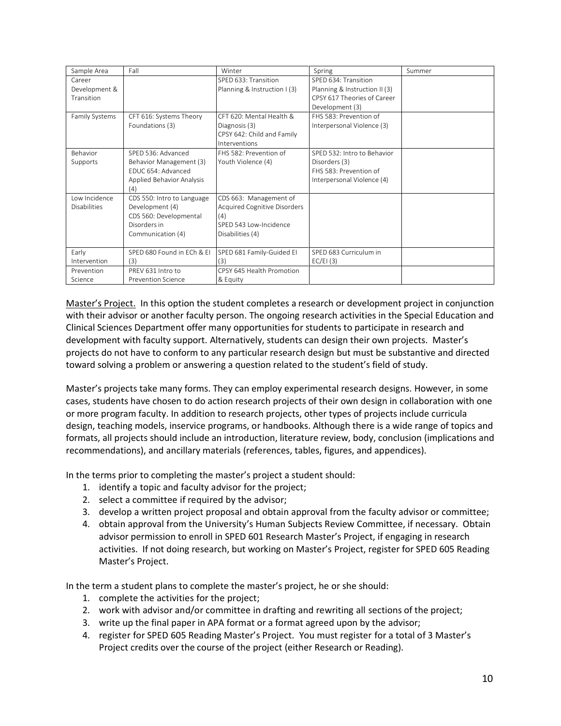| Sample Area    | Fall                       | Winter                              | Spring                        | Summer |
|----------------|----------------------------|-------------------------------------|-------------------------------|--------|
| Career         |                            | SPED 633: Transition                | SPED 634: Transition          |        |
| Development &  |                            | Planning & Instruction I (3)        | Planning & Instruction II (3) |        |
| Transition     |                            |                                     | CPSY 617 Theories of Career   |        |
|                |                            |                                     | Development (3)               |        |
| Family Systems | CFT 616: Systems Theory    | CFT 620: Mental Health &            | FHS 583: Prevention of        |        |
|                | Foundations (3)            | Diagnosis (3)                       | Interpersonal Violence (3)    |        |
|                |                            | CPSY 642: Child and Family          |                               |        |
|                |                            | Interventions                       |                               |        |
| Behavior       | SPED 536: Advanced         | FHS 582: Prevention of              | SPED 532: Intro to Behavior   |        |
| Supports       | Behavior Management (3)    | Youth Violence (4)                  | Disorders (3)                 |        |
|                | FDUC 654: Advanced         |                                     | FHS 583: Prevention of        |        |
|                | Applied Behavior Analysis  |                                     | Interpersonal Violence (4)    |        |
|                | (4)                        |                                     |                               |        |
| Low Incidence  | CDS 550: Intro to Language | CDS 663: Management of              |                               |        |
| Disabilities   | Development (4)            | <b>Acquired Cognitive Disorders</b> |                               |        |
|                | CDS 560: Developmental     | (4)                                 |                               |        |
|                | Disorders in               | SPED 543 Low-Incidence              |                               |        |
|                | Communication (4)          | Disabilities (4)                    |                               |        |
|                |                            |                                     |                               |        |
| Early          | SPED 680 Found in ECh & EI | SPED 681 Family-Guided EI           | SPED 683 Curriculum in        |        |
| Intervention   | (3)                        | (3)                                 | EC/EI(3)                      |        |
| Prevention     | PRFV 631 Intro to          | CPSY 645 Health Promotion           |                               |        |
| Science        | Prevention Science         | & Equity                            |                               |        |

Master's Project. In this option the student completes a research or development project in conjunction with their advisor or another faculty person. The ongoing research activities in the Special Education and Clinical Sciences Department offer many opportunities for students to participate in research and development with faculty support. Alternatively, students can design their own projects. Master's projects do not have to conform to any particular research design but must be substantive and directed toward solving a problem or answering a question related to the student's field of study.

Master's projects take many forms. They can employ experimental research designs. However, in some cases, students have chosen to do action research projects of their own design in collaboration with one or more program faculty. In addition to research projects, other types of projects include curricula design, teaching models, inservice programs, or handbooks. Although there is a wide range of topics and formats, all projects should include an introduction, literature review, body, conclusion (implications and recommendations), and ancillary materials (references, tables, figures, and appendices).

In the terms prior to completing the master's project a student should:

- 1. identify a topic and faculty advisor for the project;
- 2. select a committee if required by the advisor;
- 3. develop a written project proposal and obtain approval from the faculty advisor or committee;
- 4. obtain approval from the University's Human Subjects Review Committee, if necessary. Obtain advisor permission to enroll in SPED 601 Research Master's Project, if engaging in research activities. If not doing research, but working on Master's Project, register for SPED 605 Reading Master's Project.

In the term a student plans to complete the master's project, he or she should:

- 1. complete the activities for the project;
- 2. work with advisor and/or committee in drafting and rewriting all sections of the project;
- 3. write up the final paper in APA format or a format agreed upon by the advisor;
- 4. register for SPED 605 Reading Master's Project. You must register for a total of 3 Master's Project credits over the course of the project (either Research or Reading).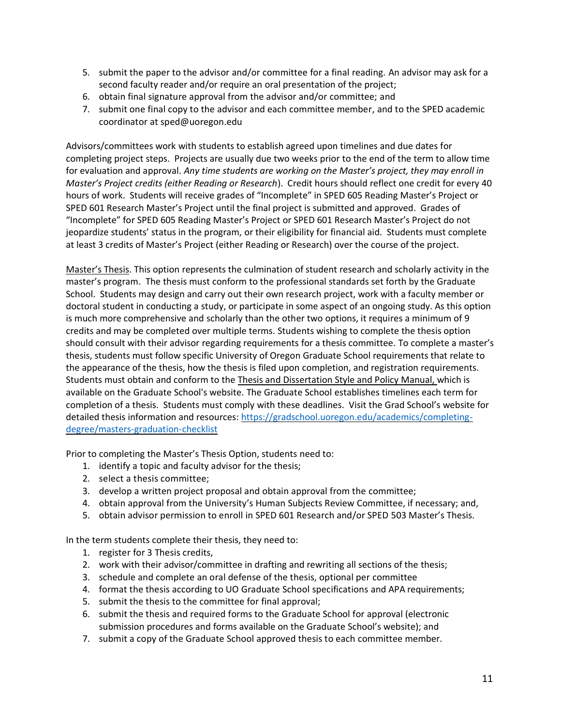- 5. submit the paper to the advisor and/or committee for a final reading. An advisor may ask for a second faculty reader and/or require an oral presentation of the project;
- 6. obtain final signature approval from the advisor and/or committee; and
- 7. submit one final copy to the advisor and each committee member, and to the SPED academic coordinator at sped@uoregon.edu

Advisors/committees work with students to establish agreed upon timelines and due dates for completing project steps. Projects are usually due two weeks prior to the end of the term to allow time for evaluation and approval. *Any time students are working on the Master's project, they may enroll in Master's Project credits (either Reading or Research*). Credit hours should reflect one credit for every 40 hours of work. Students will receive grades of "Incomplete" in SPED 605 Reading Master's Project or SPED 601 Research Master's Project until the final project is submitted and approved. Grades of "Incomplete" for SPED 605 Reading Master's Project or SPED 601 Research Master's Project do not jeopardize students' status in the program, or their eligibility for financial aid. Students must complete at least 3 credits of Master's Project (either Reading or Research) over the course of the project.

Master's Thesis. This option represents the culmination of student research and scholarly activity in the master's program. The thesis must conform to the professional standards set forth by the Graduate School. Students may design and carry out their own research project, work with a faculty member or doctoral student in conducting a study, or participate in some aspect of an ongoing study. As this option is much more comprehensive and scholarly than the other two options, it requires a minimum of 9 credits and may be completed over multiple terms. Students wishing to complete the thesis option should consult with their advisor regarding requirements for a thesis committee. To complete a master's thesis, students must follow specific University of Oregon Graduate School requirements that relate to the appearance of the thesis, how the thesis is filed upon completion, and registration requirements. Students must obtain and conform to the Thesis and Dissertation Style and Policy Manual, which is available on the Graduate School's website. The Graduate School establishes timelines each term for completion of a thesis. Students must comply with these deadlines. Visit the Grad School's website for detailed thesis information and resources: [https://gradschool.uoregon.edu/academics/completing](https://gradschool.uoregon.edu/academics/completing-degree/masters-graduation-checklist)[degree/masters-graduation-checklist](https://gradschool.uoregon.edu/academics/completing-degree/masters-graduation-checklist)

Prior to completing the Master's Thesis Option, students need to:

- 1. identify a topic and faculty advisor for the thesis;
- 2. select a thesis committee;
- 3. develop a written project proposal and obtain approval from the committee;
- 4. obtain approval from the University's Human Subjects Review Committee, if necessary; and,
- 5. obtain advisor permission to enroll in SPED 601 Research and/or SPED 503 Master's Thesis.

In the term students complete their thesis, they need to:

- 1. register for 3 Thesis credits,
- 2. work with their advisor/committee in drafting and rewriting all sections of the thesis;
- 3. schedule and complete an oral defense of the thesis, optional per committee
- 4. format the thesis according to UO Graduate School specifications and APA requirements;
- 5. submit the thesis to the committee for final approval;
- 6. submit the thesis and required forms to the Graduate School for approval (electronic submission procedures and forms available on the Graduate School's website); and
- 7. submit a copy of the Graduate School approved thesis to each committee member.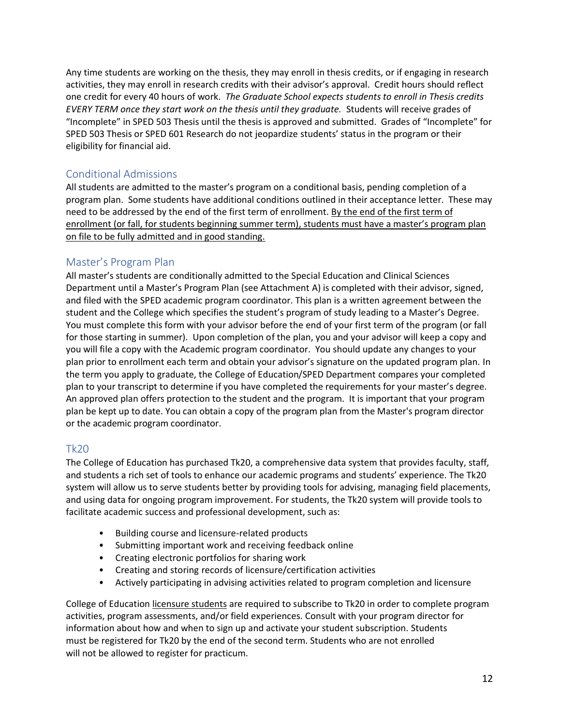Any time students are working on the thesis, they may enroll in thesis credits, or if engaging in research activities, they may enroll in research credits with their advisor's approval. Credit hours should reflect one credit for every 40 hours of work. *The Graduate School expects students to enroll in Thesis credits EVERY TERM once they start work on the thesis until they graduate.* Students will receive grades of "Incomplete" in SPED 503 Thesis until the thesis is approved and submitted. Grades of "Incomplete" for SPED 503 Thesis or SPED 601 Research do not jeopardize students' status in the program or their eligibility for financial aid.

# <span id="page-14-0"></span>Conditional Admissions

All students are admitted to the master's program on a conditional basis, pending completion of a program plan. Some students have additional conditions outlined in their acceptance letter. These may need to be addressed by the end of the first term of enrollment. By the end of the first term of enrollment (or fall, for students beginning summer term), students must have a master's program plan on file to be fully admitted and in good standing.

### <span id="page-14-1"></span>Master's Program Plan

All master's students are conditionally admitted to the Special Education and Clinical Sciences Department until a Master's Program Plan (see Attachment A) is completed with their advisor, signed, and filed with the SPED academic program coordinator. This plan is a written agreement between the student and the College which specifies the student's program of study leading to a Master's Degree. You must complete this form with your advisor before the end of your first term of the program (or fall for those starting in summer). Upon completion of the plan, you and your advisor will keep a copy and you will file a copy with the Academic program coordinator. You should update any changes to your plan prior to enrollment each term and obtain your advisor's signature on the updated program plan. In the term you apply to graduate, the College of Education/SPED Department compares your completed plan to your transcript to determine if you have completed the requirements for your master's degree. An approved plan offers protection to the student and the program. It is important that your program plan be kept up to date. You can obtain a copy of the program plan from the Master's program director or the academic program coordinator.

## <span id="page-14-2"></span>Tk20

The College of Education has purchased Tk20, a comprehensive data system that provides faculty, staff, and students a rich set of tools to enhance our academic programs and students' experience. The Tk20 system will allow us to serve students better by providing tools for advising, managing field placements, and using data for ongoing program improvement. For students, the Tk20 system will provide tools to facilitate academic success and professional development, such as:

- Building course and licensure-related products
- Submitting important work and receiving feedback online
- Creating electronic portfolios for sharing work
- Creating and storing records of licensure/certification activities
- Actively participating in advising activities related to program completion and licensure

College of Education licensure students are required to subscribe to Tk20 in order to complete program activities, program assessments, and/or field experiences. Consult with your program director for information about how and when to sign up and activate your student subscription. Students must be registered for Tk20 by the end of the second term. Students who are not enrolled will not be allowed to register for practicum.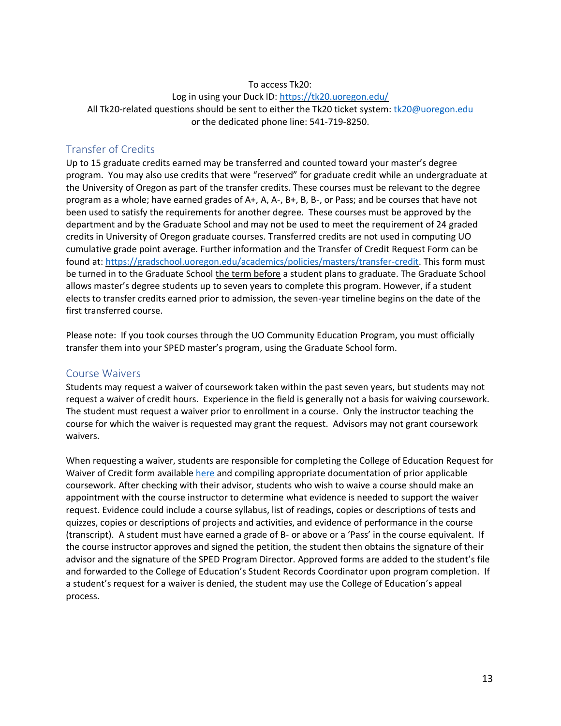#### To access Tk20:

Log in using your Duck ID: https://tk20.uoregon.edu/ All Tk20-related questions should be sent to either the Tk20 ticket system: tk20@uoregon.edu or the dedicated phone line: 541-719-8250.

#### <span id="page-15-0"></span>Transfer of Credits

Up to 15 graduate credits earned may be transferred and counted toward your master's degree program. You may also use credits that were "reserved" for graduate credit while an undergraduate at the University of Oregon as part of the transfer credits. These courses must be relevant to the degree program as a whole; have earned grades of A+, A, A-, B+, B, B-, or Pass; and be courses that have not been used to satisfy the requirements for another degree. These courses must be approved by the department and by the Graduate School and may not be used to meet the requirement of 24 graded credits in University of Oregon graduate courses. Transferred credits are not used in computing UO cumulative grade point average. Further information and the Transfer of Credit Request Form can be found at: [https://gradschool.uoregon.edu/academics/policies/masters/transfer-credit.](https://gradschool.uoregon.edu/academics/policies/masters/transfer-credit) This form must be turned in to the Graduate School the term before a student plans to graduate. The Graduate School allows master's degree students up to seven years to complete this program. However, if a student elects to transfer credits earned prior to admission, the seven-year timeline begins on the date of the first transferred course.

Please note: If you took courses through the UO Community Education Program, you must officially transfer them into your SPED master's program, using the Graduate School form.

#### <span id="page-15-1"></span>Course Waivers

Students may request a waiver of coursework taken within the past seven years, but students may not request a waiver of credit hours. Experience in the field is generally not a basis for waiving coursework. The student must request a waiver prior to enrollment in a course. Only the instructor teaching the course for which the waiver is requested may grant the request. Advisors may not grant coursework waivers.

<span id="page-15-2"></span>When requesting a waiver, students are responsible for completing the College of Education Request for Waiver of Credit form available [here](https://coedocs.uoregon.edu/download/attachments/144113666/Waiver_Form_FINAL_June_5_2018.pdf?version=1&modificationDate=1528496293611&api=v2%20) and compiling appropriate documentation of prior applicable coursework. After checking with their advisor, students who wish to waive a course should make an appointment with the course instructor to determine what evidence is needed to support the waiver request. Evidence could include a course syllabus, list of readings, copies or descriptions of tests and quizzes, copies or descriptions of projects and activities, and evidence of performance in the course (transcript). A student must have earned a grade of B- or above or a 'Pass' in the course equivalent. If the course instructor approves and signed the petition, the student then obtains the signature of their advisor and the signature of the SPED Program Director. Approved forms are added to the student's file and forwarded to the College of Education's Student Records Coordinator upon program completion. If a student's request for a waiver is denied, the student may use the College of Education's appeal process.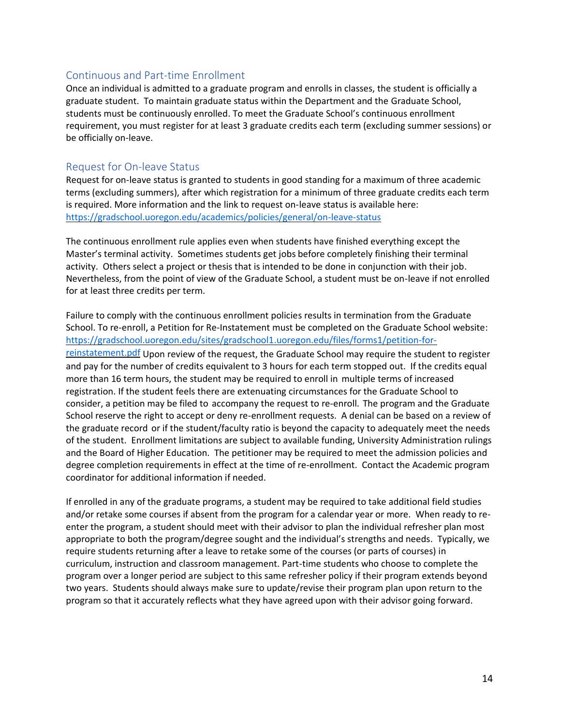#### Continuous and Part-time Enrollment

Once an individual is admitted to a graduate program and enrolls in classes, the student is officially a graduate student. To maintain graduate status within the Department and the Graduate School, students must be continuously enrolled. To meet the Graduate School's continuous enrollment requirement, you must register for at least 3 graduate credits each term (excluding summer sessions) or be officially on-leave.

#### <span id="page-16-0"></span>Request for On-leave Status

Request for on-leave status is granted to students in good standing for a maximum of three academic terms (excluding summers), after which registration for a minimum of three graduate credits each term is required. More information and the link to request on-leave status is available here: <https://gradschool.uoregon.edu/academics/policies/general/on-leave-status>

The continuous enrollment rule applies even when students have finished everything except the Master's terminal activity. Sometimes students get jobs before completely finishing their terminal activity. Others select a project or thesis that is intended to be done in conjunction with their job. Nevertheless, from the point of view of the Graduate School, a student must be on-leave if not enrolled for at least three credits per term.

Failure to comply with the continuous enrollment policies results in termination from the Graduate School. To re-enroll, a Petition for Re-Instatement must be completed on the Graduate School website: [https://gradschool.uoregon.edu/sites/gradschool1.uoregon.edu/files/forms1/petition-for](https://gradschool.uoregon.edu/sites/gradschool1.uoregon.edu/files/forms1/petition-for-reinstatement.pdf)[reinstatement.pdf](https://gradschool.uoregon.edu/sites/gradschool1.uoregon.edu/files/forms1/petition-for-reinstatement.pdf) Upon review of the request, the Graduate School may require the student to register and pay for the number of credits equivalent to 3 hours for each term stopped out. If the credits equal more than 16 term hours, the student may be required to enroll in multiple terms of increased registration. If the student feels there are extenuating circumstances for the Graduate School to consider, a petition may be filed to accompany the request to re-enroll. The program and the Graduate School reserve the right to accept or deny re-enrollment requests. A denial can be based on a review of the graduate record or if the student/faculty ratio is beyond the capacity to adequately meet the needs of the student. Enrollment limitations are subject to available funding, University Administration rulings and the Board of Higher Education. The petitioner may be required to meet the admission policies and degree completion requirements in effect at the time of re-enrollment. Contact the Academic program coordinator for additional information if needed.

<span id="page-16-1"></span>If enrolled in any of the graduate programs, a student may be required to take additional field studies and/or retake some courses if absent from the program for a calendar year or more. When ready to reenter the program, a student should meet with their advisor to plan the individual refresher plan most appropriate to both the program/degree sought and the individual's strengths and needs. Typically, we require students returning after a leave to retake some of the courses (or parts of courses) in curriculum, instruction and classroom management. Part-time students who choose to complete the program over a longer period are subject to this same refresher policy if their program extends beyond two years. Students should always make sure to update/revise their program plan upon return to the program so that it accurately reflects what they have agreed upon with their advisor going forward.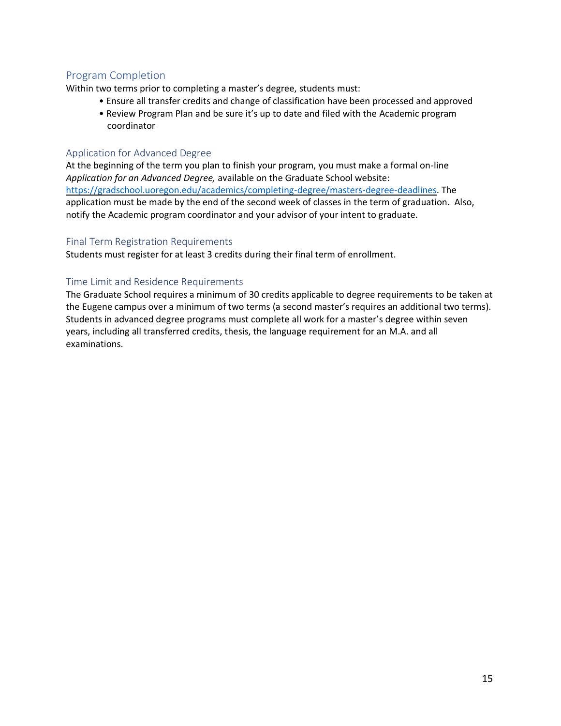# Program Completion

Within two terms prior to completing a master's degree, students must:

- Ensure all transfer credits and change of classification have been processed and approved
- Review Program Plan and be sure it's up to date and filed with the Academic program coordinator

#### <span id="page-17-0"></span>Application for Advanced Degree

At the beginning of the term you plan to finish your program, you must make a formal on-line *Application for an Advanced Degree,* available on the Graduate School website: [https://gradschool.uoregon.edu/academics/completing-degree/masters-degree-deadlines.](https://gradschool.uoregon.edu/academics/completing-degree/masters-degree-deadlines) The application must be made by the end of the second week of classes in the term of graduation. Also, notify the Academic program coordinator and your advisor of your intent to graduate.

#### <span id="page-17-1"></span>Final Term Registration Requirements

Students must register for at least 3 credits during their final term of enrollment.

#### <span id="page-17-2"></span>Time Limit and Residence Requirements

The Graduate School requires a minimum of 30 credits applicable to degree requirements to be taken at the Eugene campus over a minimum of two terms (a second master's requires an additional two terms). Students in advanced degree programs must complete all work for a master's degree within seven years, including all transferred credits, thesis, the language requirement for an M.A. and all examinations.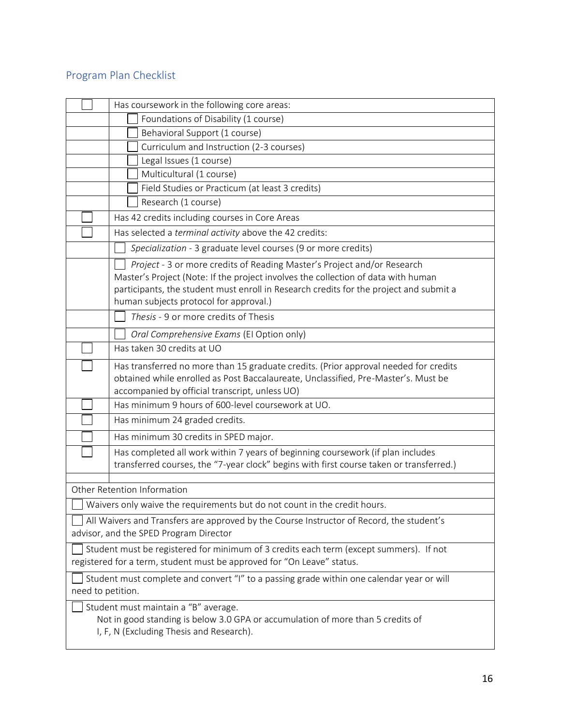# <span id="page-18-0"></span>Program Plan Checklist

|                   | Has coursework in the following core areas:                                                                                                                                                                                                                                                      |
|-------------------|--------------------------------------------------------------------------------------------------------------------------------------------------------------------------------------------------------------------------------------------------------------------------------------------------|
|                   | Foundations of Disability (1 course)                                                                                                                                                                                                                                                             |
|                   | Behavioral Support (1 course)                                                                                                                                                                                                                                                                    |
|                   | Curriculum and Instruction (2-3 courses)                                                                                                                                                                                                                                                         |
|                   | Legal Issues (1 course)                                                                                                                                                                                                                                                                          |
|                   | Multicultural (1 course)                                                                                                                                                                                                                                                                         |
|                   | Field Studies or Practicum (at least 3 credits)                                                                                                                                                                                                                                                  |
|                   | Research (1 course)                                                                                                                                                                                                                                                                              |
|                   | Has 42 credits including courses in Core Areas                                                                                                                                                                                                                                                   |
|                   | Has selected a terminal activity above the 42 credits:                                                                                                                                                                                                                                           |
|                   | Specialization - 3 graduate level courses (9 or more credits)                                                                                                                                                                                                                                    |
|                   | Project - 3 or more credits of Reading Master's Project and/or Research<br>Master's Project (Note: If the project involves the collection of data with human<br>participants, the student must enroll in Research credits for the project and submit a<br>human subjects protocol for approval.) |
|                   | Thesis - 9 or more credits of Thesis                                                                                                                                                                                                                                                             |
|                   | Oral Comprehensive Exams (El Option only)                                                                                                                                                                                                                                                        |
|                   | Has taken 30 credits at UO                                                                                                                                                                                                                                                                       |
|                   | Has transferred no more than 15 graduate credits. (Prior approval needed for credits<br>obtained while enrolled as Post Baccalaureate, Unclassified, Pre-Master's. Must be<br>accompanied by official transcript, unless UO)                                                                     |
|                   | Has minimum 9 hours of 600-level coursework at UO.                                                                                                                                                                                                                                               |
|                   | Has minimum 24 graded credits.                                                                                                                                                                                                                                                                   |
|                   | Has minimum 30 credits in SPED major.                                                                                                                                                                                                                                                            |
|                   | Has completed all work within 7 years of beginning coursework (if plan includes<br>transferred courses, the "7-year clock" begins with first course taken or transferred.)                                                                                                                       |
|                   | Other Retention Information                                                                                                                                                                                                                                                                      |
|                   | Waivers only waive the requirements but do not count in the credit hours.                                                                                                                                                                                                                        |
|                   | All Waivers and Transfers are approved by the Course Instructor of Record, the student's<br>advisor, and the SPED Program Director                                                                                                                                                               |
|                   | Student must be registered for minimum of 3 credits each term (except summers). If not<br>registered for a term, student must be approved for "On Leave" status.                                                                                                                                 |
| need to petition. | Student must complete and convert "I" to a passing grade within one calendar year or will                                                                                                                                                                                                        |
|                   | Student must maintain a "B" average.<br>Not in good standing is below 3.0 GPA or accumulation of more than 5 credits of<br>I, F, N (Excluding Thesis and Research).                                                                                                                              |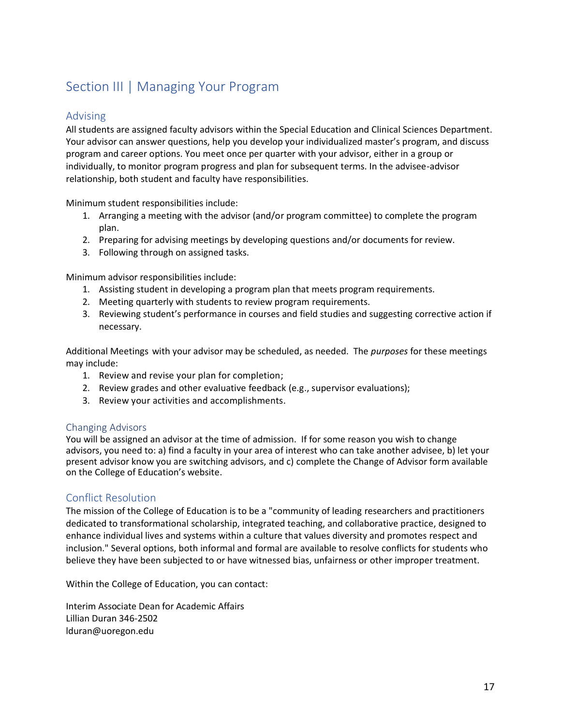# <span id="page-19-0"></span>Section III | Managing Your Program

### <span id="page-19-1"></span>Advising

All students are assigned faculty advisors within the Special Education and Clinical Sciences Department. Your advisor can answer questions, help you develop your individualized master's program, and discuss program and career options. You meet once per quarter with your advisor, either in a group or individually, to monitor program progress and plan for subsequent terms. In the advisee-advisor relationship, both student and faculty have responsibilities.

Minimum student responsibilities include:

- 1. Arranging a meeting with the advisor (and/or program committee) to complete the program plan.
- 2. Preparing for advising meetings by developing questions and/or documents for review.
- 3. Following through on assigned tasks.

Minimum advisor responsibilities include:

- 1. Assisting student in developing a program plan that meets program requirements.
- 2. Meeting quarterly with students to review program requirements.
- 3. Reviewing student's performance in courses and field studies and suggesting corrective action if necessary.

Additional Meetings with your advisor may be scheduled, as needed. The *purposes* for these meetings may include:

- 1. Review and revise your plan for completion;
- 2. Review grades and other evaluative feedback (e.g., supervisor evaluations);
- 3. Review your activities and accomplishments.

#### <span id="page-19-2"></span>Changing Advisors

You will be assigned an advisor at the time of admission. If for some reason you wish to change advisors, you need to: a) find a faculty in your area of interest who can take another advisee, b) let your present advisor know you are switching advisors, and c) complete the Change of Advisor form available on the College of Education's website.

#### <span id="page-19-3"></span>Conflict Resolution

The mission of the College of Education is to be a "community of leading researchers and practitioners dedicated to transformational scholarship, integrated teaching, and collaborative practice, designed to enhance individual lives and systems within a culture that values diversity and promotes respect and inclusion." Several options, both informal and formal are available to resolve conflicts for students who believe they have been subjected to or have witnessed bias, unfairness or other improper treatment.

Within the College of Education, you can contact:

Interim Associate Dean for Academic Affairs Lillian Duran 346-2502 lduran@uoregon.edu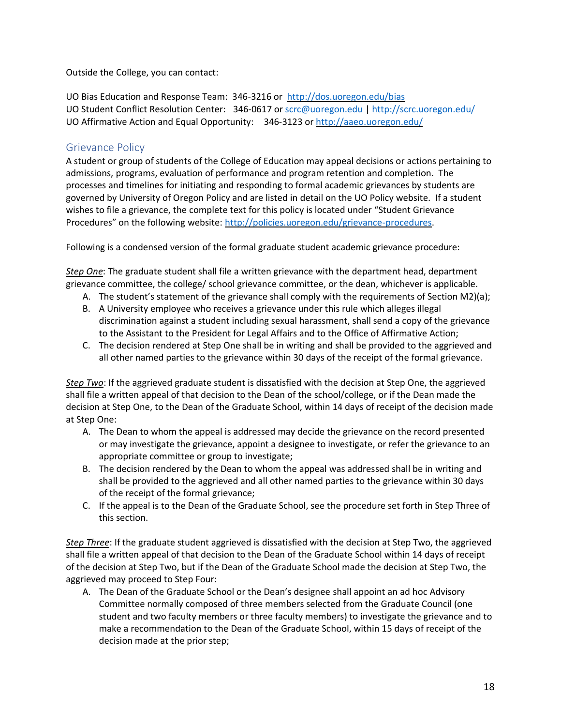Outside the College, you can contact:

UO Bias Education and Response Team: 346-3216 or [http://dos.uoregon.edu/bias](http://dos.uoregon.edu/bias/) UO Student Conflict Resolution Center: 346-0617 or [scrc@uoregon.edu](mailto:scrc@uoregon.edu) | <http://scrc.uoregon.edu/> UO Affirmative Action and Equal Opportunity: 346-3123 or <http://aaeo.uoregon.edu/>

## <span id="page-20-0"></span>Grievance Policy

A student or group of students of the College of Education may appeal decisions or actions pertaining to admissions, programs, evaluation of performance and program retention and completion. The processes and timelines for initiating and responding to formal academic grievances by students are governed by University of Oregon Policy and are listed in detail on the UO Policy website. If a student wishes to file a grievance, the complete text for this policy is located under "Student Grievance Procedures" on the following website: [http://policies.uoregon.edu/grievance-procedures.](http://policies.uoregon.edu/grievance-procedures/)

Following is a condensed version of the formal graduate student academic grievance procedure:

*Step One*: The graduate student shall file a written grievance with the department head, department grievance committee, the college/ school grievance committee, or the dean, whichever is applicable.

- A. The student's statement of the grievance shall comply with the requirements of Section M2)(a);
- B. A University employee who receives a grievance under this rule which alleges illegal discrimination against a student including sexual harassment, shall send a copy of the grievance to the Assistant to the President for Legal Affairs and to the Office of Affirmative Action;
- C. The decision rendered at Step One shall be in writing and shall be provided to the aggrieved and all other named parties to the grievance within 30 days of the receipt of the formal grievance.

*Step Two*: If the aggrieved graduate student is dissatisfied with the decision at Step One, the aggrieved shall file a written appeal of that decision to the Dean of the school/college, or if the Dean made the decision at Step One, to the Dean of the Graduate School, within 14 days of receipt of the decision made at Step One:

- A. The Dean to whom the appeal is addressed may decide the grievance on the record presented or may investigate the grievance, appoint a designee to investigate, or refer the grievance to an appropriate committee or group to investigate;
- B. The decision rendered by the Dean to whom the appeal was addressed shall be in writing and shall be provided to the aggrieved and all other named parties to the grievance within 30 days of the receipt of the formal grievance;
- C. If the appeal is to the Dean of the Graduate School, see the procedure set forth in Step Three of this section.

*Step Three*: If the graduate student aggrieved is dissatisfied with the decision at Step Two, the aggrieved shall file a written appeal of that decision to the Dean of the Graduate School within 14 days of receipt of the decision at Step Two, but if the Dean of the Graduate School made the decision at Step Two, the aggrieved may proceed to Step Four:

A. The Dean of the Graduate School or the Dean's designee shall appoint an ad hoc Advisory Committee normally composed of three members selected from the Graduate Council (one student and two faculty members or three faculty members) to investigate the grievance and to make a recommendation to the Dean of the Graduate School, within 15 days of receipt of the decision made at the prior step;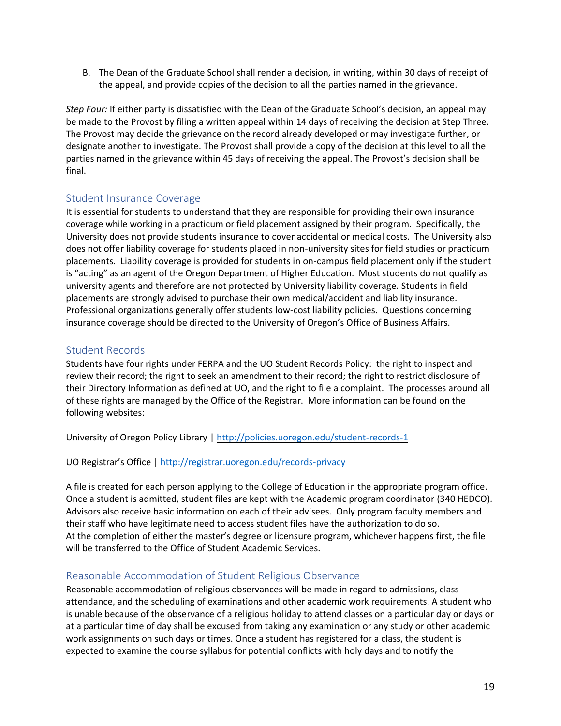B. The Dean of the Graduate School shall render a decision, in writing, within 30 days of receipt of the appeal, and provide copies of the decision to all the parties named in the grievance.

*Step Four:* If either party is dissatisfied with the Dean of the Graduate School's decision, an appeal may be made to the Provost by filing a written appeal within 14 days of receiving the decision at Step Three. The Provost may decide the grievance on the record already developed or may investigate further, or designate another to investigate. The Provost shall provide a copy of the decision at this level to all the parties named in the grievance within 45 days of receiving the appeal. The Provost's decision shall be final.

### <span id="page-21-0"></span>Student Insurance Coverage

It is essential for students to understand that they are responsible for providing their own insurance coverage while working in a practicum or field placement assigned by their program. Specifically, the University does not provide students insurance to cover accidental or medical costs. The University also does not offer liability coverage for students placed in non-university sites for field studies or practicum placements. Liability coverage is provided for students in on-campus field placement only if the student is "acting" as an agent of the Oregon Department of Higher Education. Most students do not qualify as university agents and therefore are not protected by University liability coverage. Students in field placements are strongly advised to purchase their own medical/accident and liability insurance. Professional organizations generally offer students low-cost liability policies. Questions concerning insurance coverage should be directed to the University of Oregon's Office of Business Affairs.

### <span id="page-21-1"></span>Student Records

Students have four rights under FERPA and the UO Student Records Policy: the right to inspect and review their record; the right to seek an amendment to their record; the right to restrict disclosure of their Directory Information as defined at UO, and the right to file a complaint. The processes around all of these rights are managed by the Office of the Registrar. More information can be found on the following websites:

University of Oregon Policy Library [| http://policies.uoregon.edu/student-records-1](http://policies.uoregon.edu/student-records-1/)

UO Registrar's Office | [http://registrar.uoregon.edu/records-privacy](http://registrar.uoregon.edu/records-privacy/)

A file is created for each person applying to the College of Education in the appropriate program office. Once a student is admitted, student files are kept with the Academic program coordinator (340 HEDCO). Advisors also receive basic information on each of their advisees. Only program faculty members and their staff who have legitimate need to access student files have the authorization to do so. At the completion of either the master's degree or licensure program, whichever happens first, the file will be transferred to the Office of Student Academic Services.

## <span id="page-21-2"></span>Reasonable Accommodation of Student Religious Observance

Reasonable accommodation of religious observances will be made in regard to admissions, class attendance, and the scheduling of examinations and other academic work requirements. A student who is unable because of the observance of a religious holiday to attend classes on a particular day or days or at a particular time of day shall be excused from taking any examination or any study or other academic work assignments on such days or times. Once a student has registered for a class, the student is expected to examine the course syllabus for potential conflicts with holy days and to notify the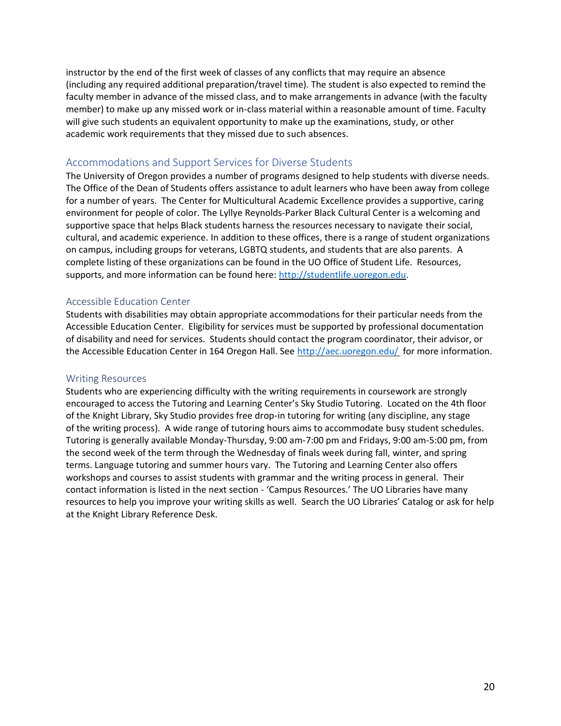instructor by the end of the first week of classes of any conflicts that may require an absence (including any required additional preparation/travel time). The student is also expected to remind the faculty member in advance of the missed class, and to make arrangements in advance (with the faculty member) to make up any missed work or in-class material within a reasonable amount of time. Faculty will give such students an equivalent opportunity to make up the examinations, study, or other academic work requirements that they missed due to such absences.

#### <span id="page-22-0"></span>Accommodations and Support Services for Diverse Students

The University of Oregon provides a number of programs designed to help students with diverse needs. The Office of the Dean of Students offers assistance to adult learners who have been away from college for a number of years. The Center for Multicultural Academic Excellence provides a supportive, caring environment for people of color. The Lyllye Reynolds-Parker Black Cultural Center is a welcoming and supportive space that helps Black students harness the resources necessary to navigate their social, cultural, and academic experience. In addition to these offices, there is a range of student organizations on campus, including groups for veterans, LGBTQ students, and students that are also parents. A complete listing of these organizations can be found in the UO Office of Student Life. Resources, supports, and more information can be found here: [http://studentlife.uoregon.edu.](http://studentlife.uoregon.edu/)

#### <span id="page-22-1"></span>Accessible Education Center

Students with disabilities may obtain appropriate accommodations for their particular needs from the Accessible Education Center. Eligibility for services must be supported by professional documentation of disability and need for services. Students should contact the program coordinator, their advisor, or the Accessible Education Center in 164 Oregon Hall. See<http://aec.uoregon.edu/> for more information.

#### <span id="page-22-2"></span>Writing Resources

<span id="page-22-3"></span>Students who are experiencing difficulty with the writing requirements in coursework are strongly encouraged to access the Tutoring and Learning Center's Sky Studio Tutoring. Located on the 4th floor of the Knight Library, Sky Studio provides free drop-in tutoring for writing (any discipline, any stage of the writing process). A wide range of tutoring hours aims to accommodate busy student schedules. Tutoring is generally available Monday-Thursday, 9:00 am-7:00 pm and Fridays, 9:00 am-5:00 pm, from the second week of the term through the Wednesday of finals week during fall, winter, and spring terms. Language tutoring and summer hours vary. The Tutoring and Learning Center also offers workshops and courses to assist students with grammar and the writing process in general. Their contact information is listed in the next section - 'Campus Resources.' The UO Libraries have many resources to help you improve your writing skills as well. Search the UO Libraries' Catalog or ask for help at the Knight Library Reference Desk.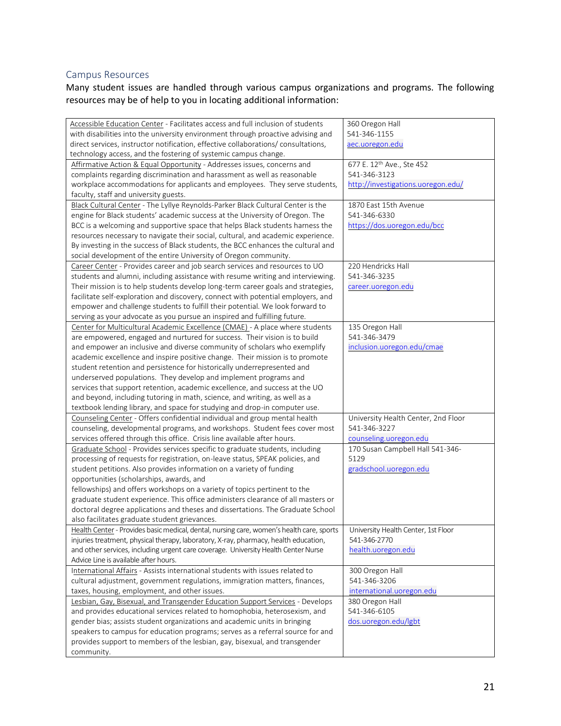# Campus Resources

Many student issues are handled through various campus organizations and programs. The following resources may be of help to you in locating additional information:

| Accessible Education Center - Facilitates access and full inclusion of students                                                 | 360 Oregon Hall                     |
|---------------------------------------------------------------------------------------------------------------------------------|-------------------------------------|
| with disabilities into the university environment through proactive advising and                                                | 541-346-1155                        |
| direct services, instructor notification, effective collaborations/ consultations,                                              | aec.uoregon.edu                     |
| technology access, and the fostering of systemic campus change.                                                                 |                                     |
| Affirmative Action & Equal Opportunity - Addresses issues, concerns and                                                         | 677 E. 12th Ave., Ste 452           |
| complaints regarding discrimination and harassment as well as reasonable                                                        | 541-346-3123                        |
| workplace accommodations for applicants and employees. They serve students,                                                     | http://investigations.uoregon.edu/  |
| faculty, staff and university guests.                                                                                           |                                     |
| Black Cultural Center - The Lyllye Reynolds-Parker Black Cultural Center is the                                                 | 1870 East 15th Avenue               |
| engine for Black students' academic success at the University of Oregon. The                                                    | 541-346-6330                        |
| BCC is a welcoming and supportive space that helps Black students harness the                                                   | https://dos.uoregon.edu/bcc         |
| resources necessary to navigate their social, cultural, and academic experience.                                                |                                     |
| By investing in the success of Black students, the BCC enhances the cultural and                                                |                                     |
| social development of the entire University of Oregon community.                                                                |                                     |
| Career Center - Provides career and job search services and resources to UO                                                     | 220 Hendricks Hall                  |
| students and alumni, including assistance with resume writing and interviewing.                                                 | 541-346-3235                        |
| Their mission is to help students develop long-term career goals and strategies,                                                | career.uoregon.edu                  |
| facilitate self-exploration and discovery, connect with potential employers, and                                                |                                     |
| empower and challenge students to fulfill their potential. We look forward to                                                   |                                     |
| serving as your advocate as you pursue an inspired and fulfilling future.                                                       |                                     |
| Center for Multicultural Academic Excellence (CMAE) - A place where students                                                    | 135 Oregon Hall                     |
| are empowered, engaged and nurtured for success. Their vision is to build                                                       | 541-346-3479                        |
| and empower an inclusive and diverse community of scholars who exemplify                                                        | inclusion.uoregon.edu/cmae          |
| academic excellence and inspire positive change. Their mission is to promote                                                    |                                     |
| student retention and persistence for historically underrepresented and                                                         |                                     |
| underserved populations. They develop and implement programs and                                                                |                                     |
| services that support retention, academic excellence, and success at the UO                                                     |                                     |
| and beyond, including tutoring in math, science, and writing, as well as a                                                      |                                     |
| textbook lending library, and space for studying and drop-in computer use.                                                      |                                     |
| Counseling Center - Offers confidential individual and group mental health                                                      | University Health Center, 2nd Floor |
| counseling, developmental programs, and workshops. Student fees cover most                                                      | 541-346-3227                        |
| services offered through this office. Crisis line available after hours.                                                        | counseling.uoregon.edu              |
| Graduate School - Provides services specific to graduate students, including                                                    | 170 Susan Campbell Hall 541-346-    |
| processing of requests for registration, on-leave status, SPEAK policies, and                                                   | 5129                                |
| student petitions. Also provides information on a variety of funding                                                            | gradschool.uoregon.edu              |
| opportunities (scholarships, awards, and                                                                                        |                                     |
| fellowships) and offers workshops on a variety of topics pertinent to the                                                       |                                     |
| graduate student experience. This office administers clearance of all masters or                                                |                                     |
| doctoral degree applications and theses and dissertations. The Graduate School                                                  |                                     |
| also facilitates graduate student grievances.                                                                                   |                                     |
| Health Center - Provides basic medical, dental, nursing care, women's health care, sports   University Health Center, 1st Floor |                                     |
| injuries treatment, physical therapy, laboratory, X-ray, pharmacy, health education,                                            | 541-346-2770                        |
| and other services, including urgent care coverage. University Health Center Nurse                                              | health.uoregon.edu                  |
| Advice Line is available after hours.                                                                                           |                                     |
| International Affairs - Assists international students with issues related to                                                   | 300 Oregon Hall                     |
| cultural adjustment, government regulations, immigration matters, finances,                                                     | 541-346-3206                        |
| taxes, housing, employment, and other issues.                                                                                   | international.uoregon.edu           |
| Lesbian, Gay, Bisexual, and Transgender Education Support Services - Develops                                                   | 380 Oregon Hall                     |
| and provides educational services related to homophobia, heterosexism, and                                                      | 541-346-6105                        |
| gender bias; assists student organizations and academic units in bringing                                                       | dos.uoregon.edu/lgbt                |
| speakers to campus for education programs; serves as a referral source for and                                                  |                                     |
| provides support to members of the lesbian, gay, bisexual, and transgender                                                      |                                     |
| community.                                                                                                                      |                                     |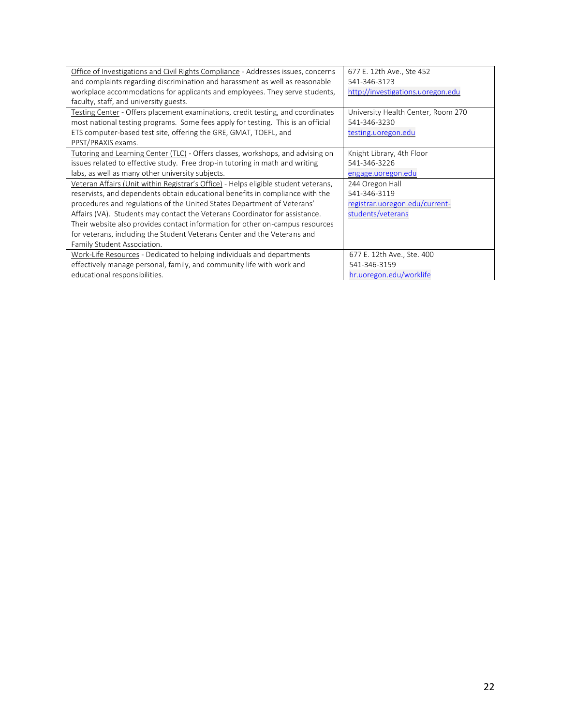| Office of Investigations and Civil Rights Compliance - Addresses issues, concerns   | 677 E. 12th Ave., Ste 452          |
|-------------------------------------------------------------------------------------|------------------------------------|
| and complaints regarding discrimination and harassment as well as reasonable        | 541-346-3123                       |
| workplace accommodations for applicants and employees. They serve students,         | http://investigations.uoregon.edu  |
| faculty, staff, and university guests.                                              |                                    |
|                                                                                     |                                    |
| Testing Center - Offers placement examinations, credit testing, and coordinates     | University Health Center, Room 270 |
| most national testing programs. Some fees apply for testing. This is an official    | 541-346-3230                       |
| ETS computer-based test site, offering the GRE, GMAT, TOEFL, and                    | testing.uoregon.edu                |
| PPST/PRAXIS exams.                                                                  |                                    |
| Tutoring and Learning Center (TLC) - Offers classes, workshops, and advising on     | Knight Library, 4th Floor          |
| issues related to effective study. Free drop-in tutoring in math and writing        | 541-346-3226                       |
| labs, as well as many other university subjects.                                    | engage.uoregon.edu                 |
| Veteran Affairs (Unit within Registrar's Office) - Helps eligible student veterans, | 244 Oregon Hall                    |
| reservists, and dependents obtain educational benefits in compliance with the       | 541-346-3119                       |
| procedures and regulations of the United States Department of Veterans'             | registrar.uoregon.edu/current-     |
| Affairs (VA). Students may contact the Veterans Coordinator for assistance.         | students/veterans                  |
| Their website also provides contact information for other on-campus resources       |                                    |
| for veterans, including the Student Veterans Center and the Veterans and            |                                    |
| Family Student Association.                                                         |                                    |
| Work-Life Resources - Dedicated to helping individuals and departments              | 677 E. 12th Ave., Ste. 400         |
| effectively manage personal, family, and community life with work and               | 541-346-3159                       |
| educational responsibilities.                                                       | hr.uoregon.edu/worklife            |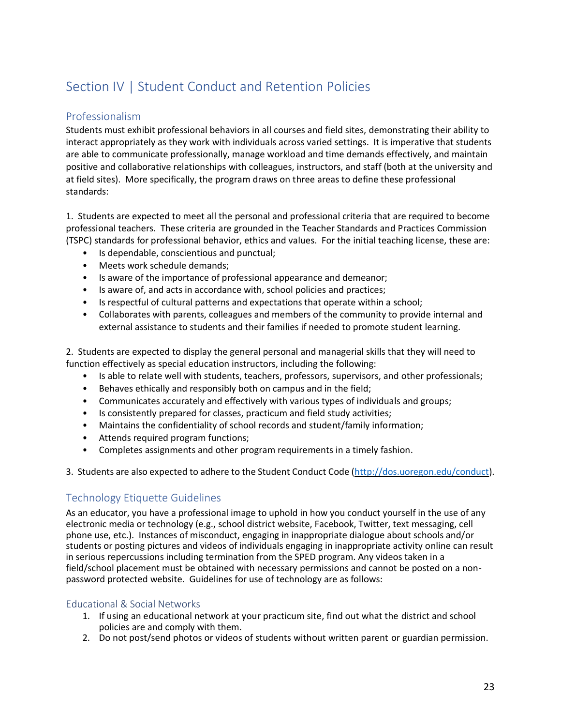# <span id="page-25-0"></span>Section IV | Student Conduct and Retention Policies

# <span id="page-25-1"></span>Professionalism

Students must exhibit professional behaviors in all courses and field sites, demonstrating their ability to interact appropriately as they work with individuals across varied settings. It is imperative that students are able to communicate professionally, manage workload and time demands effectively, and maintain positive and collaborative relationships with colleagues, instructors, and staff (both at the university and at field sites). More specifically, the program draws on three areas to define these professional standards:

1. Students are expected to meet all the personal and professional criteria that are required to become professional teachers. These criteria are grounded in the Teacher Standards and Practices Commission (TSPC) standards for professional behavior, ethics and values. For the initial teaching license, these are:

- Is dependable, conscientious and punctual;
- Meets work schedule demands;
- Is aware of the importance of professional appearance and demeanor;
- Is aware of, and acts in accordance with, school policies and practices;
- Is respectful of cultural patterns and expectations that operate within a school;
- Collaborates with parents, colleagues and members of the community to provide internal and external assistance to students and their families if needed to promote student learning.

2. Students are expected to display the general personal and managerial skills that they will need to function effectively as special education instructors, including the following:

- Is able to relate well with students, teachers, professors, supervisors, and other professionals;
- Behaves ethically and responsibly both on campus and in the field;
- Communicates accurately and effectively with various types of individuals and groups;
- Is consistently prepared for classes, practicum and field study activities;
- Maintains the confidentiality of school records and student/family information;
- Attends required program functions;
- Completes assignments and other program requirements in a timely fashion.

3. Students are also expected to adhere to the Student Conduct Code [\(http://dos.uoregon.edu/conduct\)](http://dos.uoregon.edu/conduct/).

## <span id="page-25-2"></span>Technology Etiquette Guidelines

As an educator, you have a professional image to uphold in how you conduct yourself in the use of any electronic media or technology (e.g., school district website, Facebook, Twitter, text messaging, cell phone use, etc.). Instances of misconduct, engaging in inappropriate dialogue about schools and/or students or posting pictures and videos of individuals engaging in inappropriate activity online can result in serious repercussions including termination from the SPED program. Any videos taken in a field/school placement must be obtained with necessary permissions and cannot be posted on a nonpassword protected website. Guidelines for use of technology are as follows:

#### <span id="page-25-3"></span>Educational & Social Networks

- 1. If using an educational network at your practicum site, find out what the district and school policies are and comply with them.
- 2. Do not post/send photos or videos of students without written parent or guardian permission.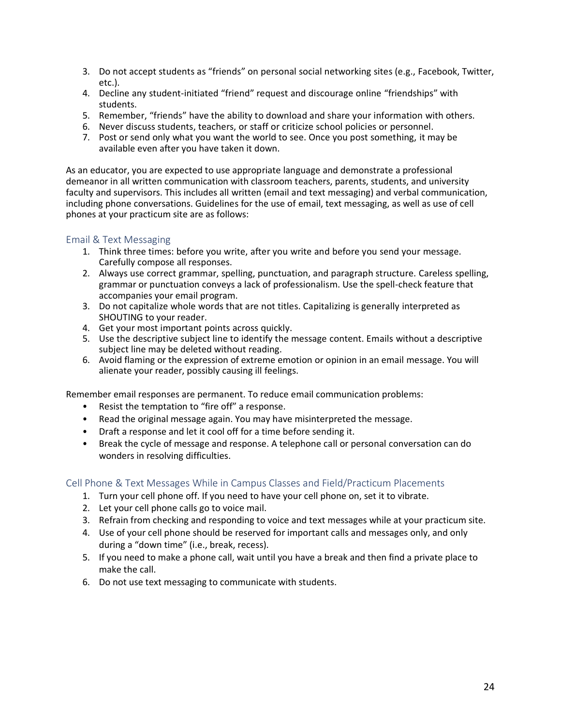- 3. Do not accept students as "friends" on personal social networking sites (e.g., Facebook, Twitter, etc.).
- 4. Decline any student-initiated "friend" request and discourage online "friendships" with students.
- 5. Remember, "friends" have the ability to download and share your information with others.
- 6. Never discuss students, teachers, or staff or criticize school policies or personnel.
- 7. Post or send only what you want the world to see. Once you post something, it may be available even after you have taken it down.

As an educator, you are expected to use appropriate language and demonstrate a professional demeanor in all written communication with classroom teachers, parents, students, and university faculty and supervisors. This includes all written (email and text messaging) and verbal communication, including phone conversations. Guidelines for the use of email, text messaging, as well as use of cell phones at your practicum site are as follows:

#### <span id="page-26-0"></span>Email & Text Messaging

- 1. Think three times: before you write, after you write and before you send your message. Carefully compose all responses.
- 2. Always use correct grammar, spelling, punctuation, and paragraph structure. Careless spelling, grammar or punctuation conveys a lack of professionalism. Use the spell-check feature that accompanies your email program.
- 3. Do not capitalize whole words that are not titles. Capitalizing is generally interpreted as SHOUTING to your reader.
- 4. Get your most important points across quickly.
- 5. Use the descriptive subject line to identify the message content. Emails without a descriptive subject line may be deleted without reading.
- 6. Avoid flaming or the expression of extreme emotion or opinion in an email message. You will alienate your reader, possibly causing ill feelings.

Remember email responses are permanent. To reduce email communication problems:

- Resist the temptation to "fire off" a response.
- Read the original message again. You may have misinterpreted the message.
- Draft a response and let it cool off for a time before sending it.
- Break the cycle of message and response. A telephone call or personal conversation can do wonders in resolving difficulties.

#### <span id="page-26-1"></span>Cell Phone & Text Messages While in Campus Classes and Field/Practicum Placements

- 1. Turn your cell phone off. If you need to have your cell phone on, set it to vibrate.
- 2. Let your cell phone calls go to voice mail.
- 3. Refrain from checking and responding to voice and text messages while at your practicum site.
- 4. Use of your cell phone should be reserved for important calls and messages only, and only during a "down time" (i.e., break, recess).
- 5. If you need to make a phone call, wait until you have a break and then find a private place to make the call.
- 6. Do not use text messaging to communicate with students.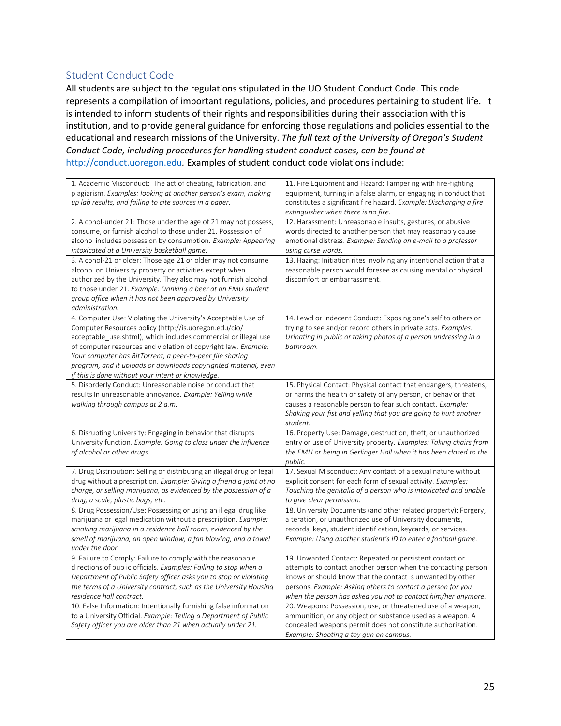# <span id="page-27-0"></span>Student Conduct Code

All students are subject to the regulations stipulated in the UO Student Conduct Code. This code represents a compilation of important regulations, policies, and procedures pertaining to student life. It is intended to inform students of their rights and responsibilities during their association with this institution, and to provide general guidance for enforcing those regulations and policies essential to the educational and research missions of the University. *The full text of the University of Oregon's Student Conduct Code, including procedures for handling student conduct cases, can be found at*  [http://conduct.uoregon.edu](http://conduct.uoregon.edu./)*.* Examples of student conduct code violations include:

| 1. Academic Misconduct: The act of cheating, fabrication, and<br>plagiarism. Examples: looking at another person's exam, making<br>up lab results, and failing to cite sources in a paper.<br>2. Alcohol-under 21: Those under the age of 21 may not possess,<br>consume, or furnish alcohol to those under 21. Possession of<br>alcohol includes possession by consumption. Example: Appearing<br>intoxicated at a University basketball game.<br>3. Alcohol-21 or older: Those age 21 or older may not consume<br>alcohol on University property or activities except when<br>authorized by the University. They also may not furnish alcohol<br>to those under 21. Example: Drinking a beer at an EMU student<br>group office when it has not been approved by University | 11. Fire Equipment and Hazard: Tampering with fire-fighting<br>equipment, turning in a false alarm, or engaging in conduct that<br>constitutes a significant fire hazard. Example: Discharging a fire<br>extinguisher when there is no fire.<br>12. Harassment: Unreasonable insults, gestures, or abusive<br>words directed to another person that may reasonably cause<br>emotional distress. Example: Sending an e-mail to a professor<br>using curse words.<br>13. Hazing: Initiation rites involving any intentional action that a<br>reasonable person would foresee as causing mental or physical<br>discomfort or embarrassment. |
|------------------------------------------------------------------------------------------------------------------------------------------------------------------------------------------------------------------------------------------------------------------------------------------------------------------------------------------------------------------------------------------------------------------------------------------------------------------------------------------------------------------------------------------------------------------------------------------------------------------------------------------------------------------------------------------------------------------------------------------------------------------------------|------------------------------------------------------------------------------------------------------------------------------------------------------------------------------------------------------------------------------------------------------------------------------------------------------------------------------------------------------------------------------------------------------------------------------------------------------------------------------------------------------------------------------------------------------------------------------------------------------------------------------------------|
| administration.<br>4. Computer Use: Violating the University's Acceptable Use of<br>Computer Resources policy (http://is.uoregon.edu/cio/<br>acceptable use.shtml), which includes commercial or illegal use<br>of computer resources and violation of copyright law. Example:<br>Your computer has BitTorrent, a peer-to-peer file sharing<br>program, and it uploads or downloads copyrighted material, even<br>if this is done without your intent or knowledge.                                                                                                                                                                                                                                                                                                          | 14. Lewd or Indecent Conduct: Exposing one's self to others or<br>trying to see and/or record others in private acts. Examples:<br>Urinating in public or taking photos of a person undressing in a<br>bathroom.                                                                                                                                                                                                                                                                                                                                                                                                                         |
| 5. Disorderly Conduct: Unreasonable noise or conduct that<br>results in unreasonable annoyance. Example: Yelling while<br>walking through campus at 2 a.m.                                                                                                                                                                                                                                                                                                                                                                                                                                                                                                                                                                                                                   | 15. Physical Contact: Physical contact that endangers, threatens,<br>or harms the health or safety of any person, or behavior that<br>causes a reasonable person to fear such contact. Example:<br>Shaking your fist and yelling that you are going to hurt another<br>student.                                                                                                                                                                                                                                                                                                                                                          |
| 6. Disrupting University: Engaging in behavior that disrupts<br>University function. Example: Going to class under the influence<br>of alcohol or other drugs.                                                                                                                                                                                                                                                                                                                                                                                                                                                                                                                                                                                                               | 16. Property Use: Damage, destruction, theft, or unauthorized<br>entry or use of University property. Examples: Taking chairs from<br>the EMU or being in Gerlinger Hall when it has been closed to the<br>public.                                                                                                                                                                                                                                                                                                                                                                                                                       |
| 7. Drug Distribution: Selling or distributing an illegal drug or legal<br>drug without a prescription. Example: Giving a friend a joint at no<br>charge, or selling marijuana, as evidenced by the possession of a<br>drug, a scale, plastic bags, etc.                                                                                                                                                                                                                                                                                                                                                                                                                                                                                                                      | 17. Sexual Misconduct: Any contact of a sexual nature without<br>explicit consent for each form of sexual activity. Examples:<br>Touching the genitalia of a person who is intoxicated and unable<br>to give clear permission.                                                                                                                                                                                                                                                                                                                                                                                                           |
| 8. Drug Possession/Use: Possessing or using an illegal drug like<br>marijuana or legal medication without a prescription. Example:<br>smoking marijuana in a residence hall room, evidenced by the<br>smell of marijuana, an open window, a fan blowing, and a towel<br>under the door.                                                                                                                                                                                                                                                                                                                                                                                                                                                                                      | 18. University Documents (and other related property): Forgery,<br>alteration, or unauthorized use of University documents,<br>records, keys, student identification, keycards, or services.<br>Example: Using another student's ID to enter a football game.                                                                                                                                                                                                                                                                                                                                                                            |
| 9. Failure to Comply: Failure to comply with the reasonable<br>directions of public officials. Examples: Failing to stop when a<br>Department of Public Safety officer asks you to stop or violating<br>the terms of a University contract, such as the University Housing<br>residence hall contract.                                                                                                                                                                                                                                                                                                                                                                                                                                                                       | 19. Unwanted Contact: Repeated or persistent contact or<br>attempts to contact another person when the contacting person<br>knows or should know that the contact is unwanted by other<br>persons. Example: Asking others to contact a person for you<br>when the person has asked you not to contact him/her anymore.                                                                                                                                                                                                                                                                                                                   |
| 10. False Information: Intentionally furnishing false information<br>to a University Official. Example: Telling a Department of Public<br>Safety officer you are older than 21 when actually under 21.                                                                                                                                                                                                                                                                                                                                                                                                                                                                                                                                                                       | 20. Weapons: Possession, use, or threatened use of a weapon,<br>ammunition, or any object or substance used as a weapon. A<br>concealed weapons permit does not constitute authorization.<br>Example: Shooting a toy gun on campus.                                                                                                                                                                                                                                                                                                                                                                                                      |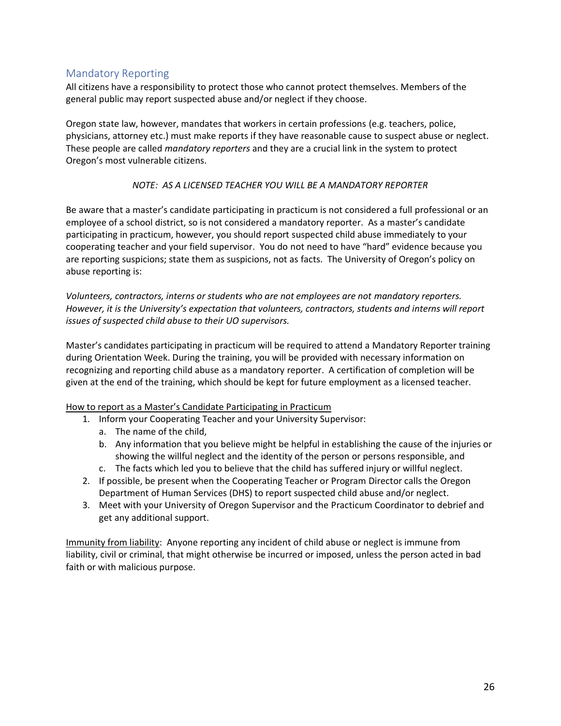# <span id="page-28-0"></span>Mandatory Reporting

All citizens have a responsibility to protect those who cannot protect themselves. Members of the general public may report suspected abuse and/or neglect if they choose.

Oregon state law, however, mandates that workers in certain professions (e.g. teachers, police, physicians, attorney etc.) must make reports if they have reasonable cause to suspect abuse or neglect. These people are called *mandatory reporters* and they are a crucial link in the system to protect Oregon's most vulnerable citizens.

#### *NOTE: AS A LICENSED TEACHER YOU WILL BE A MANDATORY REPORTER*

Be aware that a master's candidate participating in practicum is not considered a full professional or an employee of a school district, so is not considered a mandatory reporter. As a master's candidate participating in practicum, however, you should report suspected child abuse immediately to your cooperating teacher and your field supervisor. You do not need to have "hard" evidence because you are reporting suspicions; state them as suspicions, not as facts. The University of Oregon's policy on abuse reporting is:

*Volunteers, contractors, interns or students who are not employees are not mandatory reporters. However, it is the University's expectation that volunteers, contractors, students and interns will report issues of suspected child abuse to their UO supervisors.*

Master's candidates participating in practicum will be required to attend a Mandatory Reporter training during Orientation Week. During the training, you will be provided with necessary information on recognizing and reporting child abuse as a mandatory reporter. A certification of completion will be given at the end of the training, which should be kept for future employment as a licensed teacher.

#### How to report as a Master's Candidate Participating in Practicum

- 1. Inform your Cooperating Teacher and your University Supervisor:
	- a. The name of the child,
	- b. Any information that you believe might be helpful in establishing the cause of the injuries or showing the willful neglect and the identity of the person or persons responsible, and
	- c. The facts which led you to believe that the child has suffered injury or willful neglect.
- 2. If possible, be present when the Cooperating Teacher or Program Director calls the Oregon Department of Human Services (DHS) to report suspected child abuse and/or neglect.
- 3. Meet with your University of Oregon Supervisor and the Practicum Coordinator to debrief and get any additional support.

Immunity from liability: Anyone reporting any incident of child abuse or neglect is immune from liability, civil or criminal, that might otherwise be incurred or imposed, unless the person acted in bad faith or with malicious purpose.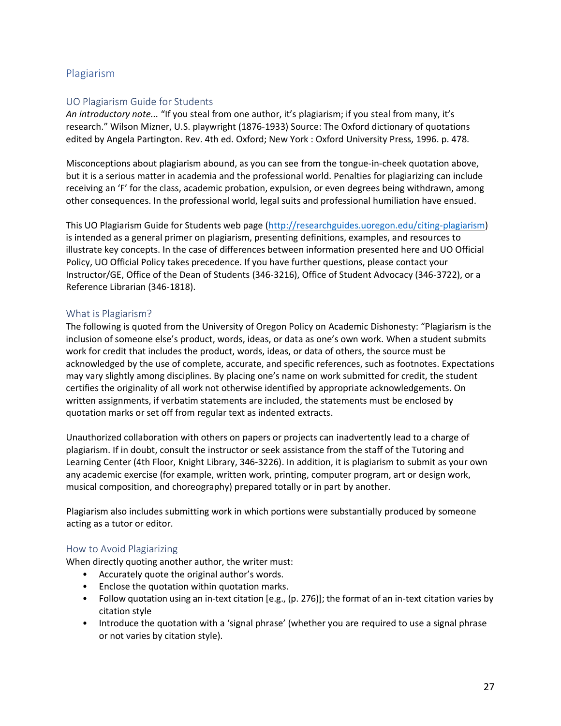# <span id="page-29-0"></span>Plagiarism

#### <span id="page-29-1"></span>UO Plagiarism Guide for Students

*An introductory note...* "If you steal from one author, it's plagiarism; if you steal from many, it's research." Wilson Mizner, U.S. playwright (1876-1933) Source: The Oxford dictionary of quotations edited by Angela Partington. Rev. 4th ed. Oxford; New York : Oxford University Press, 1996. p. 478.

Misconceptions about plagiarism abound, as you can see from the tongue-in-cheek quotation above, but it is a serious matter in academia and the professional world. Penalties for plagiarizing can include receiving an 'F' for the class, academic probation, expulsion, or even degrees being withdrawn, among other consequences. In the professional world, legal suits and professional humiliation have ensued.

This UO Plagiarism Guide for Students web page [\(http://researchguides.uoregon.edu/](http://researchguides.uoregon.edu/)citing-plagiarism) is intended as a general primer on plagiarism, presenting definitions, examples, and resources to illustrate key concepts. In the case of differences between information presented here and UO Official Policy, UO Official Policy takes precedence. If you have further questions, please contact your Instructor/GE, Office of the Dean of Students (346-3216), Office of Student Advocacy (346-3722), or a Reference Librarian (346-1818).

#### <span id="page-29-2"></span>What is Plagiarism?

The following is quoted from the University of Oregon Policy on Academic Dishonesty: "Plagiarism is the inclusion of someone else's product, words, ideas, or data as one's own work. When a student submits work for credit that includes the product, words, ideas, or data of others, the source must be acknowledged by the use of complete, accurate, and specific references, such as footnotes. Expectations may vary slightly among disciplines. By placing one's name on work submitted for credit, the student certifies the originality of all work not otherwise identified by appropriate acknowledgements. On written assignments, if verbatim statements are included, the statements must be enclosed by quotation marks or set off from regular text as indented extracts.

Unauthorized collaboration with others on papers or projects can inadvertently lead to a charge of plagiarism. If in doubt, consult the instructor or seek assistance from the staff of the Tutoring and Learning Center (4th Floor, Knight Library, 346-3226). In addition, it is plagiarism to submit as your own any academic exercise (for example, written work, printing, computer program, art or design work, musical composition, and choreography) prepared totally or in part by another.

Plagiarism also includes submitting work in which portions were substantially produced by someone acting as a tutor or editor.

#### <span id="page-29-3"></span>How to Avoid Plagiarizing

When directly quoting another author, the writer must:

- Accurately quote the original author's words.
- Enclose the quotation within quotation marks.
- Follow quotation using an in-text citation [e.g., (p. 276)]; the format of an in-text citation varies by citation style
- Introduce the quotation with a 'signal phrase' (whether you are required to use a signal phrase or not varies by citation style).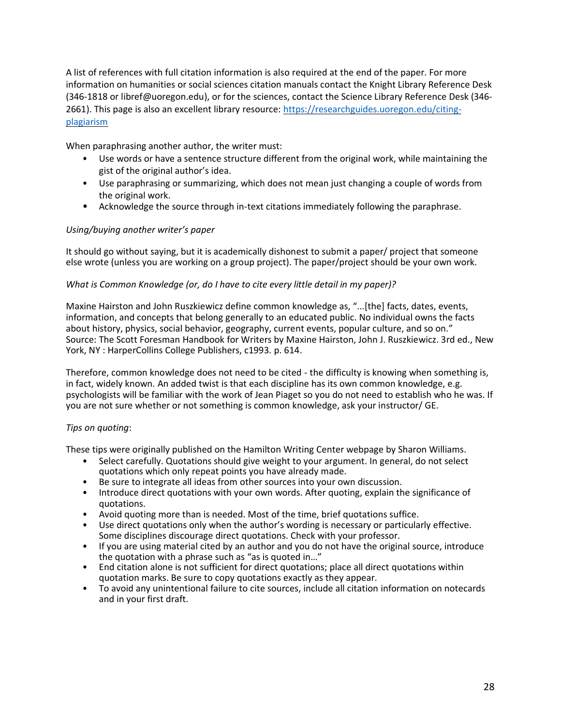A list of references with full citation information is also required at the end of the paper. For more information on humanities or social sciences citation manuals contact the Knight Library Reference Desk (346-1818 or libref@uoregon.edu), or for the sciences, contact the Science Library Reference Desk (346- 2661). This page is also an excellent library resource: [https://researchguides.uoregon.edu/citing](https://researchguides.uoregon.edu/citing-plagiarism)[plagiarism](https://researchguides.uoregon.edu/citing-plagiarism)

When paraphrasing another author, the writer must:

- Use words or have a sentence structure different from the original work, while maintaining the gist of the original author's idea.
- Use paraphrasing or summarizing, which does not mean just changing a couple of words from the original work.
- Acknowledge the source through in-text citations immediately following the paraphrase.

#### *Using/buying another writer's paper*

It should go without saying, but it is academically dishonest to submit a paper/ project that someone else wrote (unless you are working on a group project). The paper/project should be your own work.

#### *What is Common Knowledge (or, do I have to cite every little detail in my paper)?*

Maxine Hairston and John Ruszkiewicz define common knowledge as, "...[the] facts, dates, events, information, and concepts that belong generally to an educated public. No individual owns the facts about history, physics, social behavior, geography, current events, popular culture, and so on." Source: The Scott Foresman Handbook for Writers by Maxine Hairston, John J. Ruszkiewicz. 3rd ed., New York, NY : HarperCollins College Publishers, c1993. p. 614.

Therefore, common knowledge does not need to be cited - the difficulty is knowing when something is, in fact, widely known. An added twist is that each discipline has its own common knowledge, e.g. psychologists will be familiar with the work of Jean Piaget so you do not need to establish who he was. If you are not sure whether or not something is common knowledge, ask your instructor/ GE.

#### *Tips on quoting*:

These tips were originally published on the Hamilton Writing Center webpage by Sharon Williams.

- Select carefully. Quotations should give weight to your argument. In general, do not select quotations which only repeat points you have already made.
- Be sure to integrate all ideas from other sources into your own discussion.
- Introduce direct quotations with your own words. After quoting, explain the significance of quotations.
- Avoid quoting more than is needed. Most of the time, brief quotations suffice.
- Use direct quotations only when the author's wording is necessary or particularly effective. Some disciplines discourage direct quotations. Check with your professor.
- If you are using material cited by an author and you do not have the original source, introduce the quotation with a phrase such as "as is quoted in…"
- End citation alone is not sufficient for direct quotations; place all direct quotations within quotation marks. Be sure to copy quotations exactly as they appear.
- To avoid any unintentional failure to cite sources, include all citation information on notecards and in your first draft.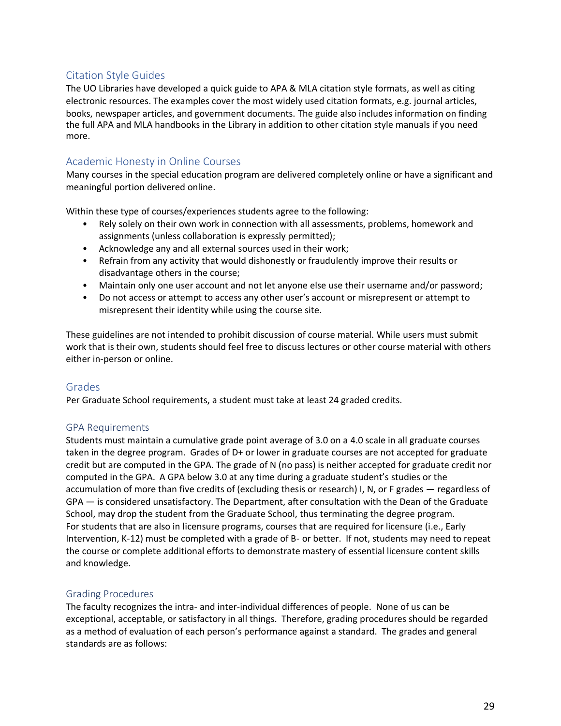# <span id="page-31-0"></span>Citation Style Guides

The UO Libraries have developed a quick guide to APA & MLA citation style formats, as well as citing electronic resources. The examples cover the most widely used citation formats, e.g. journal articles, books, newspaper articles, and government documents. The guide also includes information on finding the full APA and MLA handbooks in the Library in addition to other citation style manuals if you need more.

# <span id="page-31-1"></span>Academic Honesty in Online Courses

Many courses in the special education program are delivered completely online or have a significant and meaningful portion delivered online.

Within these type of courses/experiences students agree to the following:

- Rely solely on their own work in connection with all assessments, problems, homework and assignments (unless collaboration is expressly permitted);
- Acknowledge any and all external sources used in their work;
- Refrain from any activity that would dishonestly or fraudulently improve their results or disadvantage others in the course;
- Maintain only one user account and not let anyone else use their username and/or password;
- Do not access or attempt to access any other user's account or misrepresent or attempt to misrepresent their identity while using the course site.

These guidelines are not intended to prohibit discussion of course material. While users must submit work that is their own, students should feel free to discuss lectures or other course material with others either in-person or online.

#### <span id="page-31-2"></span>Grades

Per Graduate School requirements, a student must take at least 24 graded credits.

#### <span id="page-31-3"></span>GPA Requirements

Students must maintain a cumulative grade point average of 3.0 on a 4.0 scale in all graduate courses taken in the degree program. Grades of D+ or lower in graduate courses are not accepted for graduate credit but are computed in the GPA. The grade of N (no pass) is neither accepted for graduate credit nor computed in the GPA. A GPA below 3.0 at any time during a graduate student's studies or the accumulation of more than five credits of (excluding thesis or research) I, N, or F grades — regardless of GPA — is considered unsatisfactory. The Department, after consultation with the Dean of the Graduate School, may drop the student from the Graduate School, thus terminating the degree program. For students that are also in licensure programs, courses that are required for licensure (i.e., Early Intervention, K-12) must be completed with a grade of B- or better. If not, students may need to repeat the course or complete additional efforts to demonstrate mastery of essential licensure content skills and knowledge.

#### <span id="page-31-4"></span>Grading Procedures

The faculty recognizes the intra- and inter-individual differences of people. None of us can be exceptional, acceptable, or satisfactory in all things. Therefore, grading procedures should be regarded as a method of evaluation of each person's performance against a standard. The grades and general standards are as follows: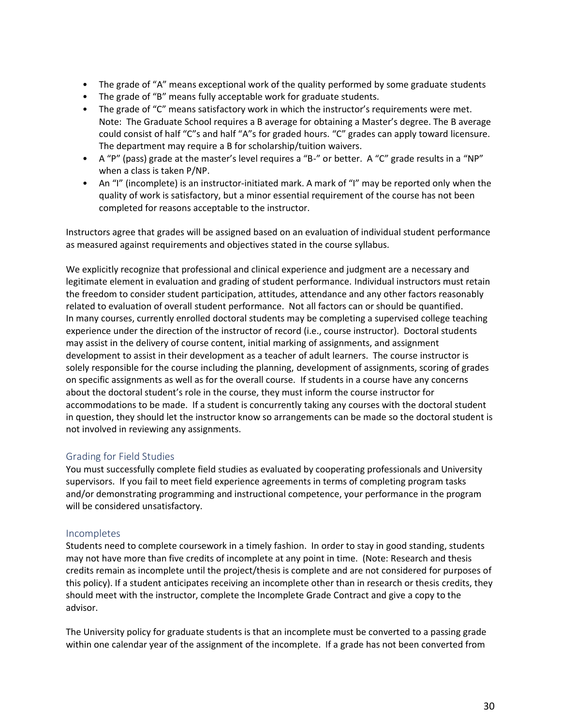- The grade of "A" means exceptional work of the quality performed by some graduate students
- The grade of "B" means fully acceptable work for graduate students.
- The grade of "C" means satisfactory work in which the instructor's requirements were met. Note: The Graduate School requires a B average for obtaining a Master's degree. The B average could consist of half "C"s and half "A"s for graded hours. "C" grades can apply toward licensure. The department may require a B for scholarship/tuition waivers.
- A "P" (pass) grade at the master's level requires a "B-" or better. A "C" grade results in a "NP" when a class is taken P/NP.
- An "I" (incomplete) is an instructor-initiated mark. A mark of "I" may be reported only when the quality of work is satisfactory, but a minor essential requirement of the course has not been completed for reasons acceptable to the instructor.

Instructors agree that grades will be assigned based on an evaluation of individual student performance as measured against requirements and objectives stated in the course syllabus.

We explicitly recognize that professional and clinical experience and judgment are a necessary and legitimate element in evaluation and grading of student performance. Individual instructors must retain the freedom to consider student participation, attitudes, attendance and any other factors reasonably related to evaluation of overall student performance. Not all factors can or should be quantified. In many courses, currently enrolled doctoral students may be completing a supervised college teaching experience under the direction of the instructor of record (i.e., course instructor). Doctoral students may assist in the delivery of course content, initial marking of assignments, and assignment development to assist in their development as a teacher of adult learners. The course instructor is solely responsible for the course including the planning, development of assignments, scoring of grades on specific assignments as well as for the overall course. If students in a course have any concerns about the doctoral student's role in the course, they must inform the course instructor for accommodations to be made. If a student is concurrently taking any courses with the doctoral student in question, they should let the instructor know so arrangements can be made so the doctoral student is not involved in reviewing any assignments.

#### <span id="page-32-0"></span>Grading for Field Studies

You must successfully complete field studies as evaluated by cooperating professionals and University supervisors. If you fail to meet field experience agreements in terms of completing program tasks and/or demonstrating programming and instructional competence, your performance in the program will be considered unsatisfactory.

#### <span id="page-32-1"></span>Incompletes

Students need to complete coursework in a timely fashion. In order to stay in good standing, students may not have more than five credits of incomplete at any point in time. (Note: Research and thesis credits remain as incomplete until the project/thesis is complete and are not considered for purposes of this policy). If a student anticipates receiving an incomplete other than in research or thesis credits, they should meet with the instructor, complete the Incomplete Grade Contract and give a copy to the advisor.

The University policy for graduate students is that an incomplete must be converted to a passing grade within one calendar year of the assignment of the incomplete. If a grade has not been converted from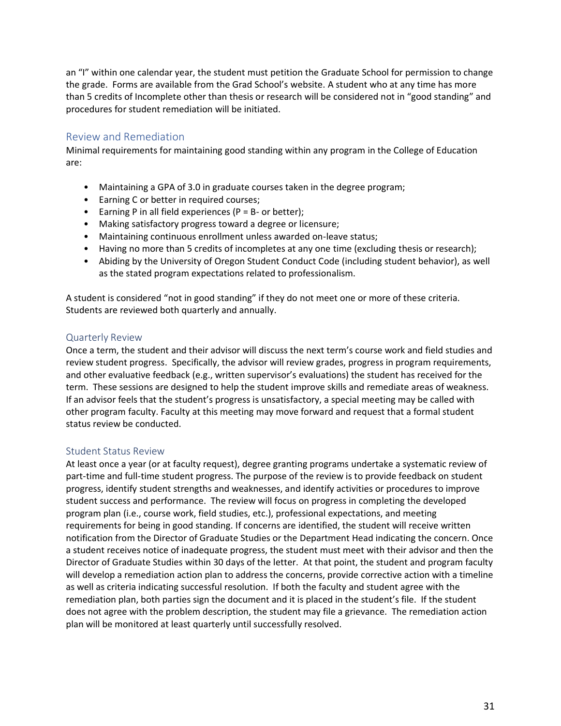an "I" within one calendar year, the student must petition the Graduate School for permission to change the grade. Forms are available from the Grad School's website. A student who at any time has more than 5 credits of Incomplete other than thesis or research will be considered not in "good standing" and procedures for student remediation will be initiated.

#### <span id="page-33-0"></span>Review and Remediation

Minimal requirements for maintaining good standing within any program in the College of Education are:

- Maintaining a GPA of 3.0 in graduate courses taken in the degree program;
- Earning C or better in required courses;
- Earning P in all field experiences ( $P = B -$  or better);
- Making satisfactory progress toward a degree or licensure;
- Maintaining continuous enrollment unless awarded on-leave status;
- Having no more than 5 credits of incompletes at any one time (excluding thesis or research);
- Abiding by the University of Oregon Student Conduct Code (including student behavior), as well as the stated program expectations related to professionalism.

A student is considered "not in good standing" if they do not meet one or more of these criteria. Students are reviewed both quarterly and annually.

#### <span id="page-33-1"></span>Quarterly Review

Once a term, the student and their advisor will discuss the next term's course work and field studies and review student progress. Specifically, the advisor will review grades, progress in program requirements, and other evaluative feedback (e.g., written supervisor's evaluations) the student has received for the term. These sessions are designed to help the student improve skills and remediate areas of weakness. If an advisor feels that the student's progress is unsatisfactory, a special meeting may be called with other program faculty. Faculty at this meeting may move forward and request that a formal student status review be conducted.

#### <span id="page-33-2"></span>Student Status Review

At least once a year (or at faculty request), degree granting programs undertake a systematic review of part-time and full-time student progress. The purpose of the review is to provide feedback on student progress, identify student strengths and weaknesses, and identify activities or procedures to improve student success and performance. The review will focus on progress in completing the developed program plan (i.e., course work, field studies, etc.), professional expectations, and meeting requirements for being in good standing. If concerns are identified, the student will receive written notification from the Director of Graduate Studies or the Department Head indicating the concern. Once a student receives notice of inadequate progress, the student must meet with their advisor and then the Director of Graduate Studies within 30 days of the letter. At that point, the student and program faculty will develop a remediation action plan to address the concerns, provide corrective action with a timeline as well as criteria indicating successful resolution. If both the faculty and student agree with the remediation plan, both parties sign the document and it is placed in the student's file. If the student does not agree with the problem description, the student may file a grievance. The remediation action plan will be monitored at least quarterly until successfully resolved.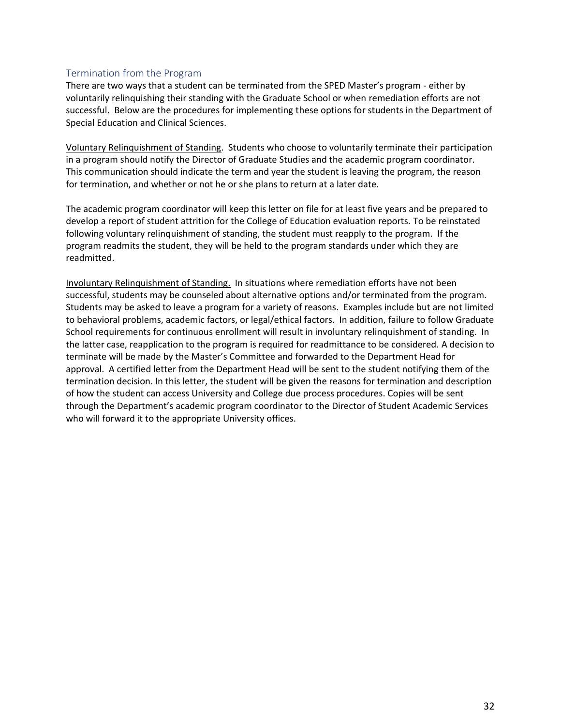#### <span id="page-34-0"></span>Termination from the Program

There are two ways that a student can be terminated from the SPED Master's program - either by voluntarily relinquishing their standing with the Graduate School or when remediation efforts are not successful. Below are the procedures for implementing these options for students in the Department of Special Education and Clinical Sciences.

Voluntary Relinquishment of Standing. Students who choose to voluntarily terminate their participation in a program should notify the Director of Graduate Studies and the academic program coordinator. This communication should indicate the term and year the student is leaving the program, the reason for termination, and whether or not he or she plans to return at a later date.

The academic program coordinator will keep this letter on file for at least five years and be prepared to develop a report of student attrition for the College of Education evaluation reports. To be reinstated following voluntary relinquishment of standing, the student must reapply to the program. If the program readmits the student, they will be held to the program standards under which they are readmitted.

Involuntary Relinquishment of Standing. In situations where remediation efforts have not been successful, students may be counseled about alternative options and/or terminated from the program. Students may be asked to leave a program for a variety of reasons. Examples include but are not limited to behavioral problems, academic factors, or legal/ethical factors. In addition, failure to follow Graduate School requirements for continuous enrollment will result in involuntary relinquishment of standing. In the latter case, reapplication to the program is required for readmittance to be considered. A decision to terminate will be made by the Master's Committee and forwarded to the Department Head for approval. A certified letter from the Department Head will be sent to the student notifying them of the termination decision. In this letter, the student will be given the reasons for termination and description of how the student can access University and College due process procedures. Copies will be sent through the Department's academic program coordinator to the Director of Student Academic Services who will forward it to the appropriate University offices.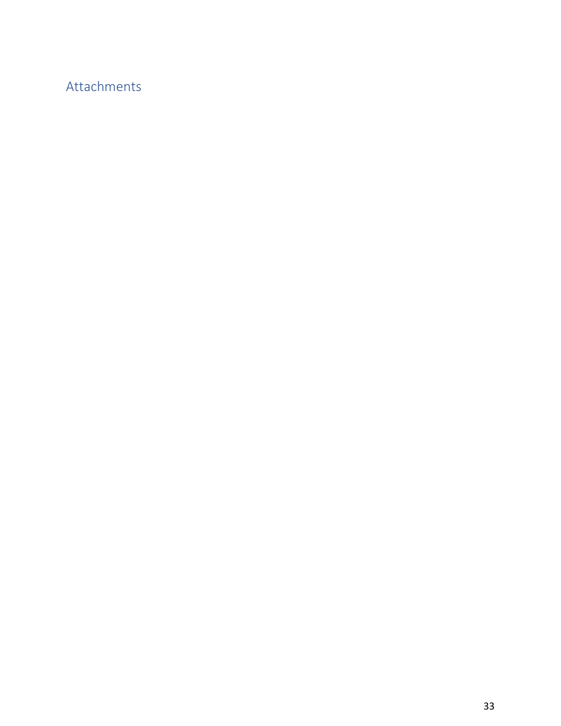# <span id="page-35-0"></span>Attachments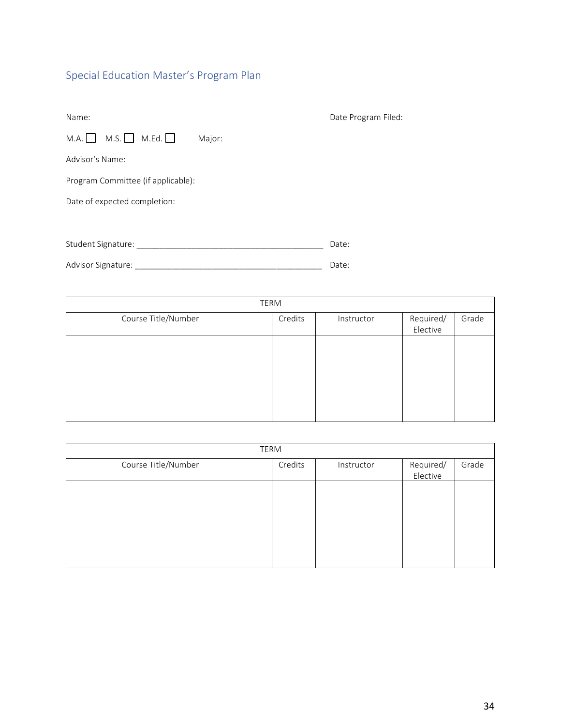# <span id="page-36-0"></span>Special Education Master's Program Plan

| Name:                              |        | Date Program Filed: |
|------------------------------------|--------|---------------------|
| $M.A. \Box$<br>$M.S.$ M.Ed. $\Box$ | Major: |                     |
| Advisor's Name:                    |        |                     |
| Program Committee (if applicable): |        |                     |
| Date of expected completion:       |        |                     |
|                                    |        |                     |
| Student Signature:                 |        | Date:               |

Advisor Signature: \_\_\_\_\_\_\_\_\_\_\_\_\_\_\_\_\_\_\_\_\_\_\_\_\_\_\_\_\_\_\_\_\_\_\_\_\_\_\_\_\_ Date:

|                     | TERM    |            |           |       |
|---------------------|---------|------------|-----------|-------|
| Course Title/Number | Credits | Instructor | Required/ | Grade |
|                     |         |            | Elective  |       |
|                     |         |            |           |       |
|                     |         |            |           |       |
|                     |         |            |           |       |
|                     |         |            |           |       |
|                     |         |            |           |       |
|                     |         |            |           |       |
|                     |         |            |           |       |
|                     |         |            |           |       |

| <b>TERM</b>         |         |            |                       |       |
|---------------------|---------|------------|-----------------------|-------|
| Course Title/Number | Credits | Instructor | Required/<br>Elective | Grade |
|                     |         |            |                       |       |
|                     |         |            |                       |       |
|                     |         |            |                       |       |
|                     |         |            |                       |       |
|                     |         |            |                       |       |
|                     |         |            |                       |       |
|                     |         |            |                       |       |
|                     |         |            |                       |       |
|                     |         |            |                       |       |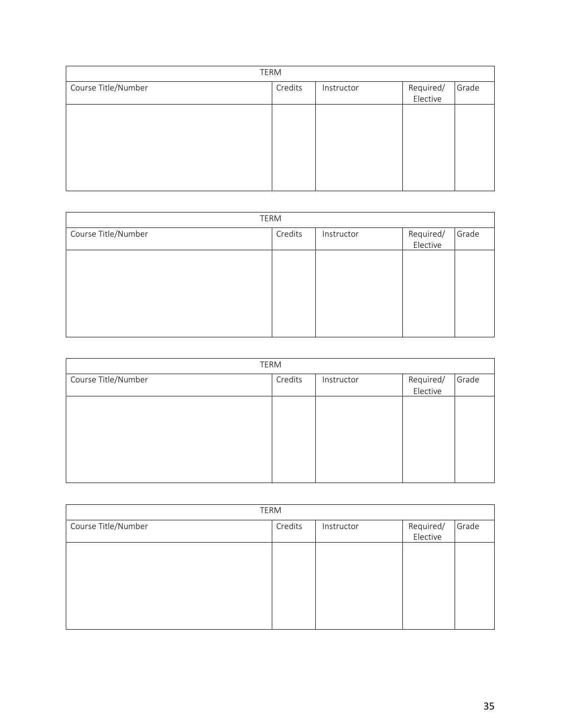| TERM                |         |            |           |       |
|---------------------|---------|------------|-----------|-------|
| Course Title/Number | Credits | Instructor | Required/ | Grade |
|                     |         |            | Elective  |       |
|                     |         |            |           |       |
|                     |         |            |           |       |
|                     |         |            |           |       |
|                     |         |            |           |       |
|                     |         |            |           |       |
|                     |         |            |           |       |
|                     |         |            |           |       |
|                     |         |            |           |       |

| TERM                |         |            |           |       |  |
|---------------------|---------|------------|-----------|-------|--|
| Course Title/Number | Credits | Instructor | Required/ | Grade |  |
|                     |         |            | Elective  |       |  |
|                     |         |            |           |       |  |
|                     |         |            |           |       |  |
|                     |         |            |           |       |  |
|                     |         |            |           |       |  |
|                     |         |            |           |       |  |
|                     |         |            |           |       |  |
|                     |         |            |           |       |  |
|                     |         |            |           |       |  |

| TERM                |         |            |                       |       |  |
|---------------------|---------|------------|-----------------------|-------|--|
| Course Title/Number | Credits | Instructor | Required/<br>Elective | Grade |  |
|                     |         |            |                       |       |  |
|                     |         |            |                       |       |  |
|                     |         |            |                       |       |  |
|                     |         |            |                       |       |  |

| TERM                |         |            |                       |       |  |
|---------------------|---------|------------|-----------------------|-------|--|
| Course Title/Number | Credits | Instructor | /Required<br>Elective | Grade |  |
|                     |         |            |                       |       |  |
|                     |         |            |                       |       |  |
|                     |         |            |                       |       |  |
|                     |         |            |                       |       |  |